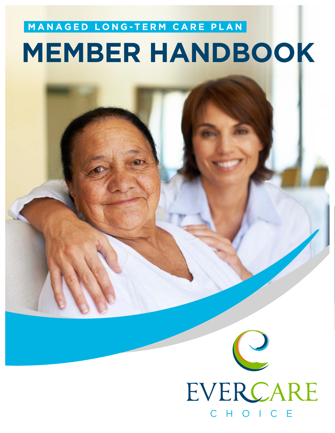# **MEMBER HANDBOOK MANAGED LONG -TERM CARE PLAN**

# EVERCARE CHOICE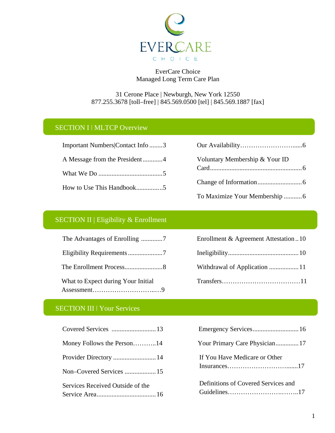

EverCare Choice Managed Long Term Care Plan

# 31 Cerone Place | Newburgh, New York 12550 877.255.3678 [toll–free] | 845.569.0500 [tel] | 845.569.1887 [fax]

# SECTION I | MLTCP Overview

| Important Numbers Contact Info3 |
|---------------------------------|
| A Message from the President4   |
|                                 |
|                                 |

| Voluntary Membership & Your ID |
|--------------------------------|
|                                |
|                                |
|                                |

# SECTION II | Eligibility & Enrollment

| What to Expect during Your Initial |
|------------------------------------|
|                                    |

| Enrollment & Agreement Attestation10 |  |
|--------------------------------------|--|
|                                      |  |
|                                      |  |
|                                      |  |

# SECTION III | Your Services

| Covered Services  13             |  |
|----------------------------------|--|
| Money Follows the Person14       |  |
| Provider Directory  14           |  |
| Non-Covered Services  15         |  |
| Services Received Outside of the |  |
|                                  |  |

| Your Primary Care Physician 17      |
|-------------------------------------|
| If You Have Medicare or Other       |
| Definitions of Covered Services and |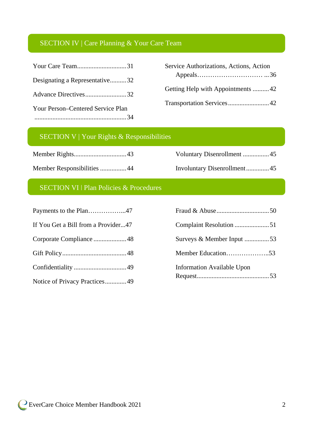# SECTION IV | Care Planning & Your Care Team

|                                   | Service Authorizations, Actions, Action |
|-----------------------------------|-----------------------------------------|
| Designating a Representative32    |                                         |
| Advance Directives32              | Getting Help with Appointments 42       |
| Your Person–Centered Service Plan |                                         |
|                                   |                                         |

# SECTION V | Your Rights & Responsibilities

Member Rights................................43

Member Responsibilities ................44

# Voluntary Disenrollment ................45 Involuntary Disenrollment..............45

# SECTION VI | Plan Policies & Procedures

| If You Get a Bill from a Provider47 |                                   |
|-------------------------------------|-----------------------------------|
|                                     | Surveys & Member Input 53         |
|                                     |                                   |
|                                     | <b>Information Available Upon</b> |
| Notice of Privacy Practices 49      |                                   |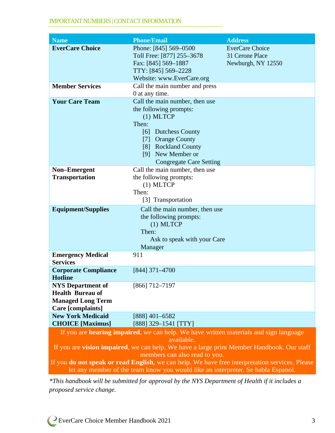#### IMPORTANT NUMBERS | CONTACT INFORMATION

| <b>Name</b>                                                                                                                              | <b>Phone/Email</b>                                                                                                                                                                                                   | <b>Address</b>                                                  |
|------------------------------------------------------------------------------------------------------------------------------------------|----------------------------------------------------------------------------------------------------------------------------------------------------------------------------------------------------------------------|-----------------------------------------------------------------|
| <b>EverCare Choice</b>                                                                                                                   | Phone: [845] 569-0500<br>Toll Free: [877] 255-3678<br>Fax: [845] 569-1887<br>TTY: [845] 569-2228<br>Website: www.EverCare.org                                                                                        | <b>EverCare Choice</b><br>31 Cerone Place<br>Newburgh, NY 12550 |
| <b>Member Services</b>                                                                                                                   | Call the main number and press<br>0 at any time.                                                                                                                                                                     |                                                                 |
| <b>Your Care Team</b>                                                                                                                    | Call the main number, then use<br>the following prompts:<br>$(1)$ MLTCP<br>Then:<br>[6] Dutchess County<br><b>Orange County</b><br>[7]<br>[8] Rockland County<br>[9] New Member or<br><b>Congregate Care Setting</b> |                                                                 |
| <b>Non-Emergent</b><br><b>Transportation</b>                                                                                             | Call the main number, then use<br>the following prompts:<br>$(1)$ MLTCP<br>Then:<br>[3] Transportation                                                                                                               |                                                                 |
| <b>Equipment/Supplies</b>                                                                                                                | Call the main number, then use<br>the following prompts:<br>$(1)$ MLTCP<br>Then:<br>Ask to speak with your Care<br>Manager                                                                                           |                                                                 |
| <b>Emergency Medical</b><br><b>Services</b>                                                                                              | 911                                                                                                                                                                                                                  |                                                                 |
| <b>Corporate Compliance</b><br><b>Hotline</b>                                                                                            | [844] 371-4700                                                                                                                                                                                                       |                                                                 |
| <b>NYS</b> Department of<br><b>Health Bureau of</b><br><b>Managed Long Term</b><br>Care [complaints]                                     | $[866]$ 712-7197                                                                                                                                                                                                     |                                                                 |
| <b>New York Medicaid</b><br><b>CHOICE</b> [Maximus]                                                                                      | $[888]$ 401-6582<br>$[888]$ 329-1541 [TTY]                                                                                                                                                                           |                                                                 |
|                                                                                                                                          | If you are hearing impaired, we can help. We have written materials and sign language                                                                                                                                |                                                                 |
| available.<br>If you are vision impaired, we can help. We have a large print Member Handbook. Our staff<br>members can also read to you. |                                                                                                                                                                                                                      |                                                                 |

If you **do not speak or read English**, we can help. We have free interpretation services. Please let any member of the team know you would like an interpreter. Se habla Espanol.

*\*This handbook will be submitted for approval by the NYS Department of Health if it includes a proposed service change.*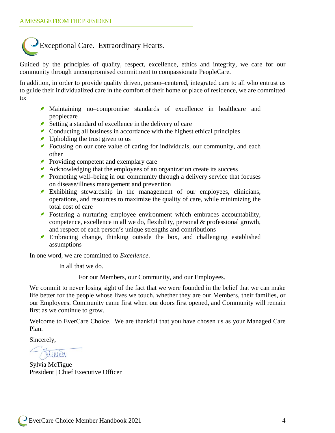

Guided by the principles of quality, respect, excellence, ethics and integrity, we care for our community through uncompromised commitment to compassionate PeopleCare.

In addition, in order to provide quality driven, person–centered, integrated care to all who entrust us to guide their individualized care in the comfort of their home or place of residence, we are committed to:

- Maintaining no–compromise standards of excellence in healthcare and peoplecare
- Setting a standard of excellence in the delivery of care
- Conducting all business in accordance with the highest ethical principles
- Upholding the trust given to us
- Focusing on our core value of caring for individuals, our community, and each other
- Providing competent and exemplary care
- Acknowledging that the employees of an organization create its success
- **Promoting well–being in our community through a delivery service that focuses** on disease/illness management and prevention
- Exhibiting stewardship in the management of our employees, clinicians, operations, and resources to maximize the quality of care, while minimizing the total cost of care
- Fostering a nurturing employee environment which embraces accountability, competence, excellence in all we do, flexibility, personal & professional growth, and respect of each person's unique strengths and contributions
- Embracing change, thinking outside the box, and challenging established assumptions

In one word, we are committed to *Excellence*.

In all that we do.

For our Members, our Community, and our Employees.

We commit to never losing sight of the fact that we were founded in the belief that we can make life better for the people whose lives we touch, whether they are our Members, their families, or our Employees. Community came first when our doors first opened, and Community will remain first as we continue to grow.

Welcome to EverCare Choice. We are thankful that you have chosen us as your Managed Care Plan.

Sincerely,

eller

Sylvia McTigue President | Chief Executive Officer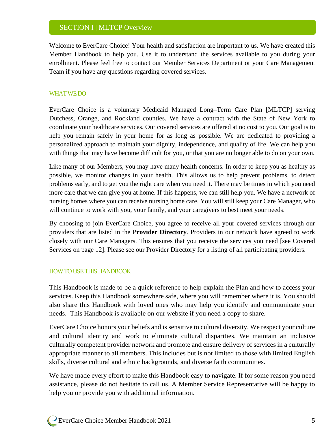# SECTION I | MLTCP Overview

Welcome to EverCare Choice! Your health and satisfaction are important to us. We have created this Member Handbook to help you. Use it to understand the services available to you during your enrollment. Please feel free to contact our Member Services Department or your Care Management Team if you have any questions regarding covered services.

#### WHAT WE DO

EverCare Choice is a voluntary Medicaid Managed Long–Term Care Plan [MLTCP] serving Dutchess, Orange, and Rockland counties. We have a contract with the State of New York to coordinate your healthcare services. Our covered services are offered at no cost to you. Our goal is to help you remain safely in your home for as long as possible. We are dedicated to providing a personalized approach to maintain your dignity, independence, and quality of life. We can help you with things that may have become difficult for you, or that you are no longer able to do on your own.

Like many of our Members, you may have many health concerns. In order to keep you as healthy as possible, we monitor changes in your health. This allows us to help prevent problems, to detect problems early, and to get you the right care when you need it. There may be times in which you need more care that we can give you at home. If this happens, we can still help you. We have a network of nursing homes where you can receive nursing home care. You will still keep your Care Manager, who will continue to work with you, your family, and your caregivers to best meet your needs.

By choosing to join EverCare Choice, you agree to receive all your covered services through our providers that are listed in the **Provider Directory**. Providers in our network have agreed to work closely with our Care Managers. This ensures that you receive the services you need [see Covered Services on page 12]. Please see our Provider Directory for a listing of all participating providers.

#### HOW TO USE THIS HANDBOOK

This Handbook is made to be a quick reference to help explain the Plan and how to access your services. Keep this Handbook somewhere safe, where you will remember where it is. You should also share this Handbook with loved ones who may help you identify and communicate your needs. This Handbook is available on our website if you need a copy to share.

EverCare Choice honors your beliefs and is sensitive to cultural diversity. We respect your culture and cultural identity and work to eliminate cultural disparities. We maintain an inclusive culturally competent provider network and promote and ensure delivery of services in a culturally appropriate manner to all members. This includes but is not limited to those with limited English skills, diverse cultural and ethnic backgrounds, and diverse faith communities.

We have made every effort to make this Handbook easy to navigate. If for some reason you need assistance, please do not hesitate to call us. A Member Service Representative will be happy to help you or provide you with additional information.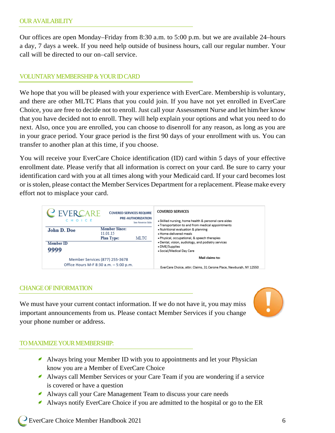Our offices are open Monday–Friday from 8:30 a.m. to 5:00 p.m. but we are available 24–hours a day, 7 days a week. If you need help outside of business hours, call our regular number. Your call will be directed to our on–call service.

#### VOLUNTARY MEMBERSHIP & YOUR IDCARD

We hope that you will be pleased with your experience with EverCare. Membership is voluntary, and there are other MLTC Plans that you could join. If you have not yet enrolled in EverCare Choice, you are free to decide not to enroll. Just call your Assessment Nurse and let him/her know that you have decided not to enroll. They will help explain your options and what you need to do next. Also, once you are enrolled, you can choose to disenroll for any reason, as long as you are in your grace period. Your grace period is the first 90 days of your enrollment with us. You can transfer to another plan at this time, if you choose.

You will receive your EverCare Choice identification (ID) card within 5 days of your effective enrollment date. Please verify that all information is correct on your card. Be sure to carry your identification card with you at all times along with your Medicaid card. If your card becomes lost or is stolen, please contact the Member Services Department for a replacement. Please make every effort not to misplace your card.



#### CHANGE OF INFORMATION

We must have your current contact information. If we do not have it, you may miss important announcements from us. Please contact Member Services if you change your phone number or address.



#### TO MAXIMIZE YOUR MEMBERSHIP:

- Always bring your Member ID with you to appointments and let your Physician know you are a Member of EverCare Choice
- Always call Member Services or your Care Team if you are wondering if a service is covered or have a question
- Always call your Care Management Team to discuss your care needs
- Always notify EverCare Choice if you are admitted to the hospital or go to the ER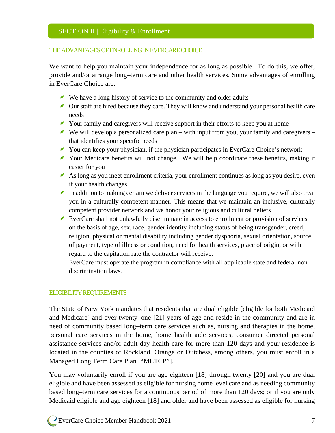#### THE ADVANTAGES OF ENROLLING IN EVERCARECHOICE

We want to help you maintain your independence for as long as possible. To do this, we offer, provide and/or arrange long–term care and other health services. Some advantages of enrolling in EverCare Choice are:

- We have a long history of service to the community and older adults
- Our staff are hired because they care. They will know and understand your personal health care needs
- Your family and caregivers will receive support in their efforts to keep you at home
- We will develop a personalized care plan with input from you, your family and caregivers that identifies your specific needs
- You can keep your physician, if the physician participates in EverCare Choice's network
- Your Medicare benefits will not change. We will help coordinate these benefits, making it easier for you
- As long as you meet enrollment criteria, your enrollment continues as long as you desire, even if your health changes
- In addition to making certain we deliver services in the language you require, we will also treat you in a culturally competent manner. This means that we maintain an inclusive, culturally competent provider network and we honor your religious and cultural beliefs
- EverCare shall not unlawfully discriminate in access to enrollment or provision of services on the basis of age, sex, race, gender identity including status of being transgender, creed, religion, physical or mental disability including gender dysphoria, sexual orientation, source of payment, type of illness or condition, need for health services, place of origin, or with regard to the capitation rate the contractor will receive.

EverCare must operate the program in compliance with all applicable state and federal non– discrimination laws.

#### ELIGIBILITY REQUIREMENTS

The State of New York mandates that residents that are dual eligible [eligible for both Medicaid and Medicare] and over twenty–one [21] years of age and reside in the community and are in need of community based long–term care services such as, nursing and therapies in the home, personal care services in the home, home health aide services, consumer directed personal assistance services and/or adult day health care for more than 120 days and your residence is located in the counties of Rockland, Orange or Dutchess, among others, you must enroll in a Managed Long Term Care Plan ["MLTCP"].

You may voluntarily enroll if you are age eighteen [18] through twenty [20] and you are dual eligible and have been assessed as eligible for nursing home level care and as needing community based long–term care services for a continuous period of more than 120 days; or if you are only Medicaid eligible and age eighteen [18] and older and have been assessed as eligible for nursing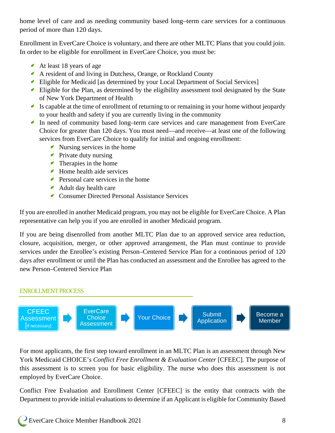home level of care and as needing community based long–term care services for a continuous period of more than 120 days.

Enrollment in EverCare Choice is voluntary, and there are other MLTC Plans that you could join. In order to be eligible for enrollment in EverCare Choice, you must be:

- At least 18 years of age
- A resident of and living in Dutchess, Orange, or Rockland County
- Eligible for Medicaid [as determined by your Local Department of Social Services]
- Eligible for the Plan, as determined by the eligibility assessment tool designated by the State of New York Department of Health
- Is capable at the time of enrollment of returning to or remaining in your home without jeopardy to your health and safety if you are currently living in the community
- In need of community based long–term care services and care management from EverCare Choice for greater than 120 days. You must need—and receive—at least one of the following services from EverCare Choice to qualify for initial and ongoing enrollment:
	- Nursing services in the home
	- **Private duty nursing**
	- Therapies in the home
	- Home health aide services
	- **Personal care services in the home**
	- Adult day health care
	- **Consumer Directed Personal Assistance Services**

If you are enrolled in another Medicaid program, you may not be eligible for EverCare Choice. A Plan representative can help you if you are enrolled in another Medicaid program.

If you are being disenrolled from another MLTC Plan due to an approved service area reduction, closure, acquisition, merger, or other approved arrangement, the Plan must continue to provide services under the Enrollee's existing Person–Centered Service Plan for a continuous period of 120 days after enrollment or until the Plan has conducted an assessment and the Enrollee has agreed to the new Person–Centered Service Plan

#### ENROLLMENT PROCESS



For most applicants, the first step toward enrollment in an MLTC Plan is an assessment through New York Medicaid CHOICE's *Conflict Free Enrollment & Evaluation Center* [CFEEC]*.* The purpose of this assessment is to screen you for basic eligibility. The nurse who does this assessment is not employed by EverCare Choice.

Conflict Free Evaluation and Enrollment Center [CFEEC] is the entity that contracts with the Department to provide initial evaluations to determine if an Applicant is eligible for Community Based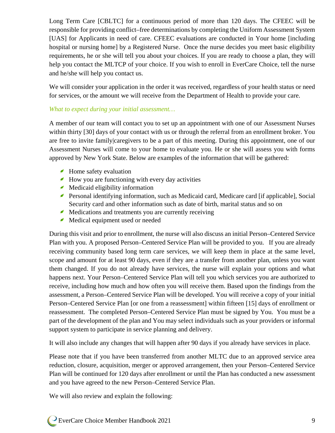Long Term Care [CBLTC] for a continuous period of more than 120 days. The CFEEC will be responsible for providing conflict–free determinations by completing the Uniform Assessment System [UAS] for Applicants in need of care. CFEEC evaluations are conducted in Your home [including hospital or nursing home] by a Registered Nurse. Once the nurse decides you meet basic eligibility requirements, he or she will tell you about your choices. If you are ready to choose a plan, they will help you contact the MLTCP of your choice. If you wish to enroll in EverCare Choice, tell the nurse and he/she will help you contact us.

We will consider your application in the order it was received, regardless of your health status or need for services, or the amount we will receive from the Department of Health to provide your care.

#### *What to expect during your initial assessment…*

A member of our team will contact you to set up an appointment with one of our Assessment Nurses within thirty [30] days of your contact with us or through the referral from an enrollment broker. You are free to invite family|caregivers to be a part of this meeting. During this appointment, one of our Assessment Nurses will come to your home to evaluate you. He or she will assess you with forms approved by New York State. Below are examples of the information that will be gathered:

- Home safety evaluation
- $\blacktriangle$  How you are functioning with every day activities
- $\blacksquare$  Medicaid eligibility information
- Personal identifying information, such as Medicaid card, Medicare card [if applicable], Social Security card and other information such as date of birth, marital status and so on
- Medications and treatments you are currently receiving
- ◢ Medical equipment used or needed

During this visit and prior to enrollment, the nurse will also discuss an initial Person–Centered Service Plan with you. A proposed Person–Centered Service Plan will be provided to you. If you are already receiving community based long term care services, we will keep them in place at the same level, scope and amount for at least 90 days, even if they are a transfer from another plan, unless you want them changed. If you do not already have services, the nurse will explain your options and what happens next. Your Person–Centered Service Plan will tell you which services you are authorized to receive, including how much and how often you will receive them. Based upon the findings from the assessment, a Person–Centered Service Plan will be developed. You will receive a copy of your initial Person–Centered Service Plan [or one from a reassessment] within fifteen [15] days of enrollment or reassessment. The completed Person–Centered Service Plan must be signed by You. You must be a part of the development of the plan and You may select individuals such as your providers or informal support system to participate in service planning and delivery.

It will also include any changes that will happen after 90 days if you already have services in place.

Please note that if you have been transferred from another MLTC due to an approved service area reduction, closure, acquisition, merger or approved arrangement, then your Person–Centered Service Plan will be continued for 120 days after enrollment or until the Plan has conducted a new assessment and you have agreed to the new Person–Centered Service Plan.

We will also review and explain the following: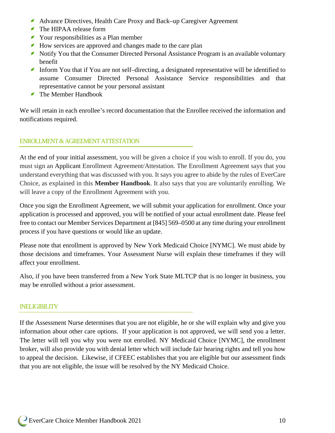- ◢ Advance Directives, Health Care Proxy and Back–up Caregiver Agreement
- The HIPAA release form
- Your responsibilities as a Plan member
- How services are approved and changes made to the care plan
- Notify You that the Consumer Directed Personal Assistance Program is an available voluntary benefit
- Inform You that if You are not self-directing, a designated representative will be identified to assume Consumer Directed Personal Assistance Service responsibilities and that representative cannot be your personal assistant
- The Member Handbook

We will retain in each enrollee's record documentation that the Enrollee received the information and notifications required.

# ENROLLMENT & AGREEMENT ATTESTATION

At the end of your initial assessment, you will be given a choice if you wish to enroll. If you do, you must sign an Applicant Enrollment Agreement/Attestation. The Enrollment Agreement says that you understand everything that was discussed with you. It says you agree to abide by the rules of EverCare Choice, as explained in this **Member Handbook**. It also says that you are voluntarily enrolling. We will leave a copy of the Enrollment Agreement with you.

Once you sign the Enrollment Agreement, we will submit your application for enrollment. Once your application is processed and approved, you will be notified of your actual enrollment date. Please feel free to contact our Member Services Department at [845] 569–0500 at any time during your enrollment process if you have questions or would like an update.

Please note that enrollment is approved by New York Medicaid Choice [NYMC]. We must abide by those decisions and timeframes. Your Assessment Nurse will explain these timeframes if they will affect your enrollment.

Also, if you have been transferred from a New York State MLTCP that is no longer in business, you may be enrolled without a prior assessment.

#### INELIGIBILITY

If the Assessment Nurse determines that you are not eligible, he or she will explain why and give you information about other care options. If your application is not approved, we will send you a letter. The letter will tell you why you were not enrolled. NY Medicaid Choice [NYMC], the enrollment broker, will also provide you with denial letter which will include fair hearing rights and tell you how to appeal the decision. Likewise, if CFEEC establishes that you are eligible but our assessment finds that you are not eligible, the issue will be resolved by the NY Medicaid Choice.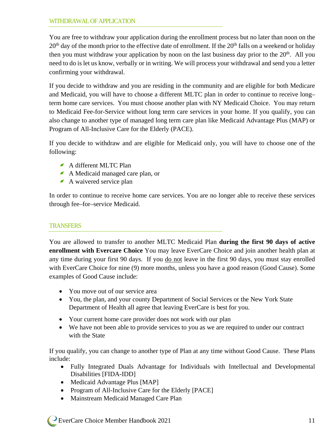#### WITHDRAWAL OF APPLICATION

You are free to withdraw your application during the enrollment process but no later than noon on the  $20<sup>th</sup>$  day of the month prior to the effective date of enrollment. If the  $20<sup>th</sup>$  falls on a weekend or holiday then you must withdraw your application by noon on the last business day prior to the  $20<sup>th</sup>$ . All you need to do is let us know, verbally or in writing. We will process your withdrawal and send you a letter confirming your withdrawal.

If you decide to withdraw and you are residing in the community and are eligible for both Medicare and Medicaid, you will have to choose a different MLTC plan in order to continue to receive long– term home care services. You must choose another plan with NY Medicaid Choice. You may return to Medicaid Fee-for-Service without long term care services in your home. If you qualify, you can also change to another type of managed long term care plan like Medicaid Advantage Plus (MAP) or Program of All-Inclusive Care for the Elderly (PACE).

If you decide to withdraw and are eligible for Medicaid only, you will have to choose one of the following:

- A different MLTC Plan
- A Medicaid managed care plan, or
- A waivered service plan

In order to continue to receive home care services. You are no longer able to receive these services through fee–for–service Medicaid.

#### **TRANSFERS**

You are allowed to transfer to another MLTC Medicaid Plan **during the first 90 days of active enrollment with Evercare Choice** You may leave EverCare Choice and join another health plan at any time during your first 90 days. If you do not leave in the first 90 days, you must stay enrolled with EverCare Choice for nine (9) more months, unless you have a good reason (Good Cause). Some examples of Good Cause include:

- You move out of our service area
- You, the plan, and your county Department of Social Services or the New York State Department of Health all agree that leaving EverCare is best for you.
- Your current home care provider does not work with our plan
- We have not been able to provide services to you as we are required to under our contract with the State

If you qualify, you can change to another type of Plan at any time without Good Cause. These Plans include:

- Fully Integrated Duals Advantage for Individuals with Intellectual and Developmental Disabilities [FIDA-IDD]
- Medicaid Advantage Plus [MAP]
- Program of All-Inclusive Care for the Elderly [PACE]
- Mainstream Medicaid Managed Care Plan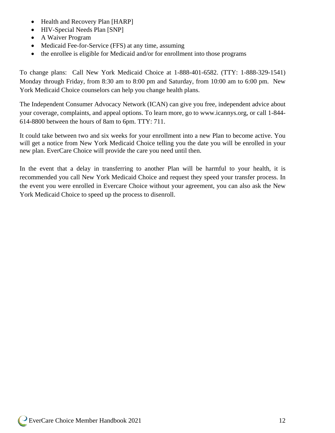- Health and Recovery Plan [HARP]
- HIV-Special Needs Plan [SNP]
- A Waiver Program
- Medicaid Fee-for-Service (FFS) at any time, assuming
- the enrollee is eligible for Medicaid and/or for enrollment into those programs

To change plans: Call New York Medicaid Choice at 1-888-401-6582. (TTY: 1-888-329-1541) Monday through Friday, from 8:30 am to 8:00 pm and Saturday, from 10:00 am to 6:00 pm. New York Medicaid Choice counselors can help you change health plans.

The Independent Consumer Advocacy Network (ICAN) can give you free, independent advice about your coverage, complaints, and appeal options. To learn more, go to www.icannys.org, or call 1-844- 614-8800 between the hours of 8am to 6pm. TTY: 711.

It could take between two and six weeks for your enrollment into a new Plan to become active. You will get a notice from New York Medicaid Choice telling you the date you will be enrolled in your new plan. EverCare Choice will provide the care you need until then.

In the event that a delay in transferring to another Plan will be harmful to your health, it is recommended you call New York Medicaid Choice and request they speed your transfer process. In the event you were enrolled in Evercare Choice without your agreement, you can also ask the New York Medicaid Choice to speed up the process to disenroll.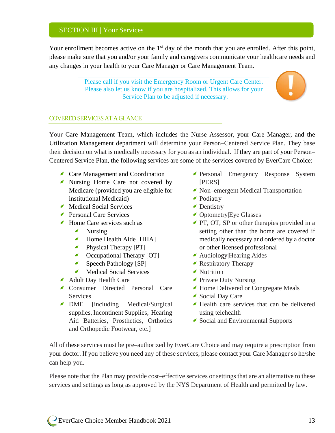# SECTION III | Your Services

Your enrollment becomes active on the 1<sup>st</sup> day of the month that you are enrolled. After this point, please make sure that you and/or your family and caregivers communicate your healthcare needs and any changes in your health to your Care Manager or Care Management Team.

> Please call if you visit the Emergency Room or Urgent Care Center. Please also let us know if you are hospitalized. This allows for your Service Plan to be adjusted if necessary.



#### COVERED SERVICESAT A GLANCE

Your Care Management Team, which includes the Nurse Assessor, your Care Manager, and the Utilization Management department will determine your Person–Centered Service Plan. They base their decision on what is medically necessary for you as an individual. If they are part of your Person– Centered Service Plan, the following services are some of the services covered by EverCare Choice:

- **Care Management and Coordination**
- Nursing Home Care not covered by Medicare (provided you are eligible for institutional Medicaid)
- Medical Social Services
- Personal Care Services
- Home Care services such as
	- Nursing
	- $\epsilon$ Home Health Aide [HHA]
	- **Physical Therapy [PT]**
	- Occupational Therapy [OT]  $\epsilon$
	- $\epsilon$ Speech Pathology [SP]
	- Medical Social Services
- Adult Day Health Care
- Consumer Directed Personal Care **Services**
- DME [including Medical/Surgical supplies, Incontinent Supplies, Hearing Aid Batteries, Prosthetics, Orthotics and Orthopedic Footwear, etc.]
- Personal Emergency Response System [PERS]
- Non–emergent Medical Transportation
- Podiatry
- **Dentistry**
- **C** Optometry Eye Glasses
- **PT, OT, SP** or other therapies provided in a setting other than the home are covered if medically necessary and ordered by a doctor or other licensed professional
- Audiology|Hearing Aides
- Respiratory Therapy
- Nutrition
- **Private Duty Nursing**
- Home Delivered or Congregate Meals
- Social Day Care
- Health care services that can be delivered using telehealth
- Social and Environmental Supports

All of these services must be pre–authorized by EverCare Choice and may require a prescription from your doctor. If you believe you need any of these services, please contact your Care Manager so he/she can help you.

Please note that the Plan may provide cost–effective services or settings that are an alternative to these services and settings as long as approved by the NYS Department of Health and permitted by law.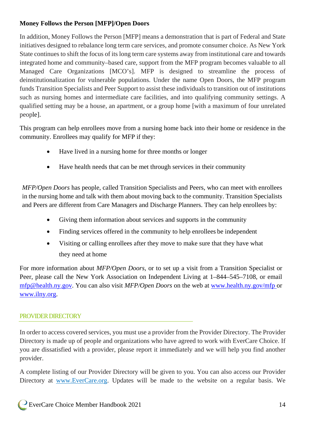# **Money Follows the Person [MFP]/Open Doors**

In addition, Money Follows the Person [MFP] means a demonstration that is part of Federal and State initiatives designed to rebalance long term care services, and promote consumer choice. As New York State continues to shift the focus of its long term care systems away from institutional care and towards integrated home and community–based care, support from the MFP program becomes valuable to all Managed Care Organizations [MCO's]. MFP is designed to streamline the process of deinstitutionalization for vulnerable populations. Under the name Open Doors, the MFP program funds Transition Specialists and Peer Support to assist these individuals to transition out of institutions such as nursing homes and intermediate care facilities, and into qualifying community settings. A qualified setting may be a house, an apartment, or a group home [with a maximum of four unrelated people].

This program can help enrollees move from a nursing home back into their home or residence in the community. Enrollees may qualify for MFP if they:

- Have lived in a nursing home for three months or longer
- Have health needs that can be met through services in their community

*MFP/Open Doors* has people, called Transition Specialists and Peers, who can meet with enrollees in the nursing home and talk with them about moving back to the community. Transition Specialists and Peers are different from Care Managers and Discharge Planners. They can help enrollees by:

- Giving them information about services and supports in the community
- Finding services offered in the community to help enrollees be independent
- Visiting or calling enrollees after they move to make sure that they have what they need at home

For more information about *MFP/Open Doors,* or to set up a visit from a Transition Specialist or Peer, please call the New York Association on Independent Living at 1–844–545–7108, or email [mfp@health.ny.gov.](mailto:mfp@health.ny.gov) You can also visit *MFP/Open Doors* on the web at [www.health.ny.gov/mfp o](http://www.health.ny.gov/mfp)r [www.ilny.org.](http://www.ilny.org/)

# PROVIDER DIRECTORY

In order to access covered services, you must use a provider from the Provider Directory. The Provider Directory is made up of people and organizations who have agreed to work with EverCare Choice. If you are dissatisfied with a provider, please report it immediately and we will help you find another provider.

A complete listing of our Provider Directory will be given to you. You can also access our Provider Directory at [www.EverCare.org.](http://www.evercare.org/) Updates will be made to the website on a regular basis. We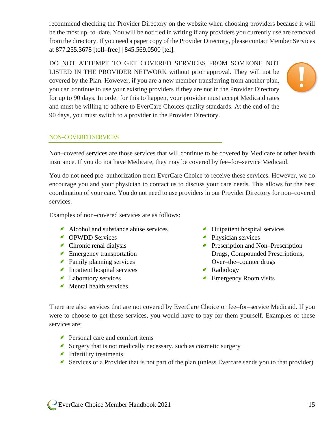recommend checking the Provider Directory on the website when choosing providers because it will be the most up–to–date. You will be notified in writing if any providers you currently use are removed from the directory. If you need a paper copy of the Provider Directory, please contact Member Services at 877.255.3678 [toll–free] | 845.569.0500 [tel].

DO NOT ATTEMPT TO GET COVERED SERVICES FROM SOMEONE NOT LISTED IN THE PROVIDER NETWORK without prior approval. They will not be covered by the Plan. However, if you are a new member transferring from another plan, you can continue to use your existing providers if they are not in the Provider Directory for up to 90 days. In order for this to happen, your provider must accept Medicaid rates and must be willing to adhere to EverCare Choices quality standards. At the end of the 90 days, you must switch to a provider in the Provider Directory.



#### NON–COVERED SERVICES

Non–covered services are those services that will continue to be covered by Medicare or other health insurance. If you do not have Medicare, they may be covered by fee–for–service Medicaid.

You do not need pre–authorization from EverCare Choice to receive these services. However, we do encourage you and your physician to contact us to discuss your care needs. This allows for the best coordination of your care. You do not need to use providers in our Provider Directory for non–covered services.

Examples of non–covered services are as follows:

- Alcohol and substance abuse services
- **OPWDD** Services
- Chronic renal dialysis
- **Emergency transportation**
- Family planning services
- Inpatient hospital services
- Laboratory services
- $\blacktriangle$  Mental health services
- Outpatient hospital services
- **Physician services**
- **Prescription and Non–Prescription** Drugs, Compounded Prescriptions, Over–the–counter drugs
- Radiology
- **Emergency Room visits**

There are also services that are not covered by EverCare Choice or fee–for–service Medicaid. If you were to choose to get these services, you would have to pay for them yourself. Examples of these services are:

- Personal care and comfort items
- Surgery that is not medically necessary, such as cosmetic surgery
- Infertility treatments
- Services of a Provider that is not part of the plan (unless Evercare sends you to that provider)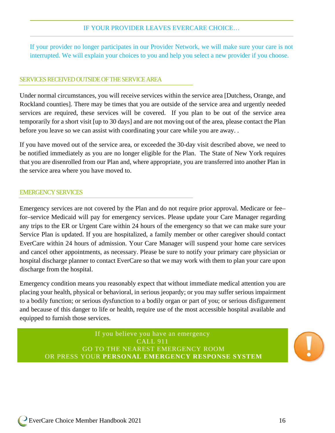#### IF YOUR PROVIDER LEAVES EVERCARE CHOICE…

If your provider no longer participates in our Provider Network, we will make sure your care is not interrupted. We will explain your choices to you and help you select a new provider if you choose.

#### SERVICES RECEIVED OUTSIDE OF THE SERVICEAREA

Under normal circumstances, you will receive services within the service area [Dutchess, Orange, and Rockland counties]. There may be times that you are outside of the service area and urgently needed services are required, these services will be covered. If you plan to be out of the service area temporarily for a short visit [up to 30 days] and are not moving out of the area, please contact the Plan before you leave so we can assist with coordinating your care while you are away. .

If you have moved out of the service area, or exceeded the 30-day visit described above, we need to be notified immediately as you are no longer eligible for the Plan. The State of New York requires that you are disenrolled from our Plan and, where appropriate, you are transferred into another Plan in the service area where you have moved to.

#### EMERGENCY SERVICES

Emergency services are not covered by the Plan and do not require prior approval. Medicare or fee– for–service Medicaid will pay for emergency services. Please update your Care Manager regarding any trips to the ER or Urgent Care within 24 hours of the emergency so that we can make sure your Service Plan is updated. If you are hospitalized, a family member or other caregiver should contact EverCare within 24 hours of admission. Your Care Manager will suspend your home care services and cancel other appointments, as necessary. Please be sure to notify your primary care physician or hospital discharge planner to contact EverCare so that we may work with them to plan your care upon discharge from the hospital.

Emergency condition means you reasonably expect that without immediate medical attention you are placing your health, physical or behavioral, in serious jeopardy; or you may suffer serious impairment to a bodily function; or serious dysfunction to a bodily organ or part of you; or serious disfigurement and because of this danger to life or health, require use of the most accessible hospital available and equipped to furnish those services.

If you believe you have an emergency CALL 911 GO TO THE NEAREST EMERGENCY ROOM OR PRESS YOUR **PERSONAL EMERGENCY RESPONSE SYSTEM**

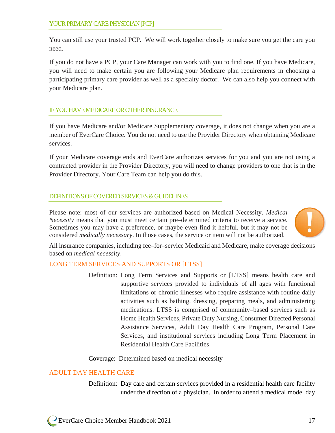You can still use your trusted PCP. We will work together closely to make sure you get the care you need.

If you do not have a PCP, your Care Manager can work with you to find one. If you have Medicare, you will need to make certain you are following your Medicare plan requirements in choosing a participating primary care provider as well as a specialty doctor. We can also help you connect with your Medicare plan.

# IF YOU HAVE MEDICAREOR OTHER INSURANCE

If you have Medicare and/or Medicare Supplementary coverage, it does not change when you are a member of EverCare Choice. You do not need to use the Provider Directory when obtaining Medicare services.

If your Medicare coverage ends and EverCare authorizes services for you and you are not using a contracted provider in the Provider Directory, you will need to change providers to one that is in the Provider Directory. Your Care Team can help you do this.

#### DEFINITIONS OF COVERED SERVICES & GUIDELINES

Please note: most of our services are authorized based on Medical Necessity. *Medical Necessity* means that you must meet certain pre–determined criteria to receive a service. Sometimes you may have a preference, or maybe even find it helpful, but it may not be considered *medically necessary*. In those cases, the service or item will not be authorized.



All insurance companies, including fee–for–service Medicaid and Medicare, make coverage decisions based on *medical necessity*.

#### LONG TERM SERVICES AND SUPPORTS OR [LTSS]

Definition: Long Term Services and Supports or [LTSS] means health care and supportive services provided to individuals of all ages with functional limitations or chronic illnesses who require assistance with routine daily activities such as bathing, dressing, preparing meals, and administering medications. LTSS is comprised of community–based services such as Home Health Services, Private Duty Nursing, Consumer Directed Personal Assistance Services, Adult Day Health Care Program, Personal Care Services, and institutional services including Long Term Placement in Residential Health Care Facilities

#### Coverage: Determined based on medical necessity

#### ADULT DAY HEALTH CARE

Definition: Day care and certain services provided in a residential health care facility under the direction of a physician. In order to attend a medical model day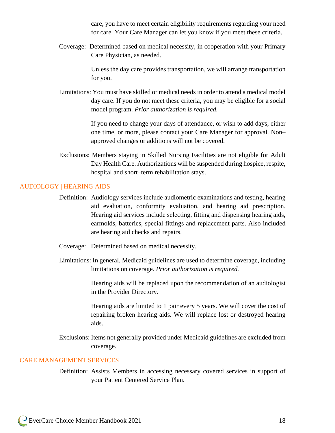care, you have to meet certain eligibility requirements regarding your need for care. Your Care Manager can let you know if you meet these criteria.

Coverage: Determined based on medical necessity, in cooperation with your Primary Care Physician, as needed.

> Unless the day care provides transportation, we will arrange transportation for you.

Limitations: You must have skilled or medical needs in order to attend a medical model day care. If you do not meet these criteria, you may be eligible for a social model program. *Prior authorization is required.*

> If you need to change your days of attendance, or wish to add days, either one time, or more, please contact your Care Manager for approval. Non– approved changes or additions will not be covered.

Exclusions: Members staying in Skilled Nursing Facilities are not eligible for Adult Day Health Care. Authorizations will be suspended during hospice, respite, hospital and short–term rehabilitation stays.

#### AUDIOLOGY | HEARING AIDS

- Definition: Audiology services include audiometric examinations and testing, hearing aid evaluation, conformity evaluation, and hearing aid prescription. Hearing aid services include selecting, fitting and dispensing hearing aids, earmolds, batteries, special fittings and replacement parts. Also included are hearing aid checks and repairs.
- Coverage: Determined based on medical necessity.
- Limitations: In general, Medicaid guidelines are used to determine coverage, including limitations on coverage. *Prior authorization is required.*

Hearing aids will be replaced upon the recommendation of an audiologist in the Provider Directory.

Hearing aids are limited to 1 pair every 5 years. We will cover the cost of repairing broken hearing aids. We will replace lost or destroyed hearing aids.

Exclusions: Items not generally provided under Medicaid guidelines are excluded from coverage.

#### CARE MANAGEMENT SERVICES

Definition: Assists Members in accessing necessary covered services in support of your Patient Centered Service Plan.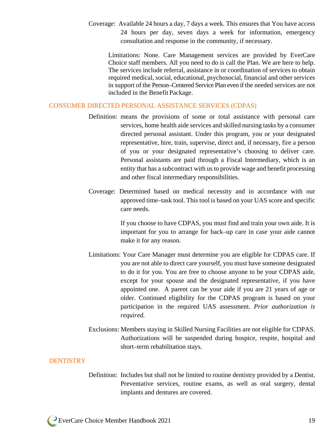Coverage: Available 24 hours a day, 7 days a week. This ensures that You have access 24 hours per day, seven days a week for information, emergency consultation and response in the community, if necessary.

Limitations: None. Care Management services are provided by EverCare Choice staff members. All you need to do is call the Plan. We are here to help. The services include referral, assistance in or coordination of services to obtain required medical, social, educational, psychosocial, financial and other services in support of the Person–Centered Service Plan even if the needed services are not included in the Benefit Package.

#### CONSUMER DIRECTED PERSONAL ASSISTANCE SERVICES (CDPAS)

- Definition: means the provisions of some or total assistance with personal care services, home health aide services and skilled nursing tasks by a consumer directed personal assistant. Under this program, you or your designated representative, hire, train, supervise, direct and, if necessary, fire a person of you or your designated representative's choosing to deliver care. Personal assistants are paid through a Fiscal Intermediary, which is an entity that has a subcontract with us to provide wage and benefit processing and other fiscal intermediary responsibilities.
- Coverage: Determined based on medical necessity and in accordance with our approved time–task tool. This tool is based on your UAS score and specific care needs.

If you choose to have CDPAS, you must find and train your own aide. It is important for you to arrange for back–up care in case your aide cannot make it for any reason.

- Limitations: Your Care Manager must determine you are eligible for CDPAS care. If you are not able to direct care yourself, you must have someone designated to do it for you. You are free to choose anyone to be your CDPAS aide, except for your spouse and the designated representative, if you have appointed one. A parent can be your aide if you are 21 years of age or older. Continued eligibility for the CDPAS program is based on your participation in the required UAS assessment. *Prior authorization is required.*
- Exclusions: Members staying in Skilled Nursing Facilities are not eligible for CDPAS. Authorizations will be suspended during hospice, respite, hospital and short–term rehabilitation stays.

#### **DENTISTRY**

Definition: Includes but shall not be limited to routine dentistry provided by a Dentist. Preventative services, routine exams, as well as oral surgery, dental implants and dentures are covered.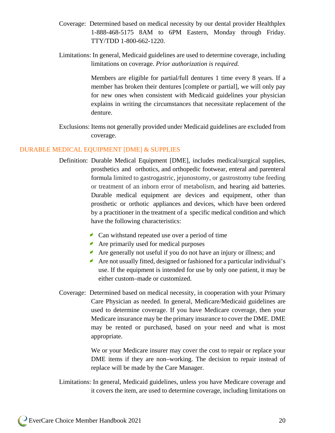- Coverage: Determined based on medical necessity by our dental provider Healthplex 1-888-468-5175 8AM to 6PM Eastern, Monday through Friday. TTY/TDD 1-800-662-1220.
- Limitations: In general, Medicaid guidelines are used to determine coverage, including limitations on coverage. *Prior authorization is required.*

Members are eligible for partial/full dentures 1 time every 8 years. If a member has broken their dentures [complete or partial], we will only pay for new ones when consistent with Medicaid guidelines your physician explains in writing the circumstances that necessitate replacement of the denture.

Exclusions: Items not generally provided under Medicaid guidelines are excluded from coverage.

#### DURABLE MEDICAL EQUIPMENT [DME] & SUPPLIES

- Definition: Durable Medical Equipment [DME], includes medical/surgical supplies, prosthetics and orthotics, and orthopedic footwear, enteral and parenteral formula limited to gastrogastric, jejunostomy, or gastrostomy tube feeding or treatment of an inborn error of metabolism, and hearing aid batteries. Durable medical equipment are devices and equipment, other than prosthetic or orthotic appliances and devices, which have been ordered by a practitioner in the treatment of a specific medical condition and which have the following characteristics:
	- $\triangle$  Can withstand repeated use over a period of time
	- Are primarily used for medical purposes
	- Are generally not useful if you do not have an injury or illness; and
	- Are not usually fitted, designed or fashioned for a particular individual's use. If the equipment is intended for use by only one patient, it may be either custom–made or customized.
- Coverage: Determined based on medical necessity, in cooperation with your Primary Care Physician as needed. In general, Medicare/Medicaid guidelines are used to determine coverage. If you have Medicare coverage, then your Medicare insurance may be the primary insurance to cover the DME. DME may be rented or purchased, based on your need and what is most appropriate.

We or your Medicare insurer may cover the cost to repair or replace your DME items if they are non–working. The decision to repair instead of replace will be made by the Care Manager.

Limitations: In general, Medicaid guidelines, unless you have Medicare coverage and it covers the item, are used to determine coverage, including limitations on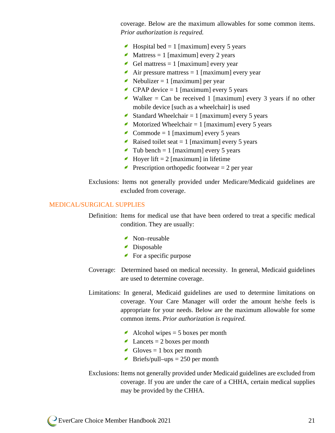coverage. Below are the maximum allowables for some common items. *Prior authorization is required.*

- $\blacktriangle$  Hospital bed = 1 [maximum] every 5 years
- ◢ Mattress  $= 1$  [maximum] every 2 years
- Gel mattress  $= 1$  [maximum] every year
- Air pressure mattress  $= 1$  [maximum] every year
- Nebulizer = 1 [maximum] per year
- $\triangle$  CPAP device = 1 [maximum] every 5 years
- Walker = Can be received 1 [maximum] every 3 years if no other mobile device [such as a wheelchair] is used
- Standard Wheelchair = 1 [maximum] every 5 years
- Motorized Wheelchair  $= 1$  [maximum] every 5 years  $\epsilon$
- Commode = 1 [maximum] every 5 years
- Raised toilet seat  $= 1$  [maximum] every 5 years
- Tub bench = 1 [maximum] every 5 years
- Hoyer lift  $= 2$  [maximum] in lifetime
- Prescription orthopedic footwear  $= 2$  per year
- Exclusions: Items not generally provided under Medicare/Medicaid guidelines are excluded from coverage.

#### MEDICAL/SURGICAL SUPPLIES

Definition: Items for medical use that have been ordered to treat a specific medical condition. They are usually:

- Non–reusable
- Disposable
- $\blacktriangleright$  For a specific purpose
- Coverage: Determined based on medical necessity. In general, Medicaid guidelines are used to determine coverage.
- Limitations: In general, Medicaid guidelines are used to determine limitations on coverage. Your Care Manager will order the amount he/she feels is appropriate for your needs. Below are the maximum allowable for some common items. *Prior authorization is required.*
	- Alcohol wipes  $= 5$  boxes per month
	- $\triangle$  Lancets = 2 boxes per month
	- Gloves  $= 1$  box per month
	- Briefs/pull–ups  $= 250$  per month
- Exclusions: Items not generally provided under Medicaid guidelines are excluded from coverage. If you are under the care of a CHHA, certain medical supplies may be provided by the CHHA.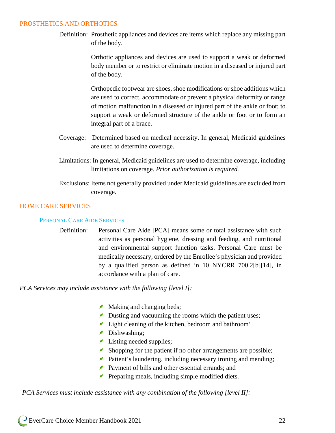#### PROSTHETICS AND ORTHOTICS

Definition: Prosthetic appliances and devices are items which replace any missing part of the body.

> Orthotic appliances and devices are used to support a weak or deformed body member or to restrict or eliminate motion in a diseased or injured part of the body.

> Orthopedic footwear are shoes, shoe modifications or shoe additions which are used to correct, accommodate or prevent a physical deformity or range of motion malfunction in a diseased or injured part of the ankle or foot; to support a weak or deformed structure of the ankle or foot or to form an integral part of a brace.

- Coverage: Determined based on medical necessity. In general, Medicaid guidelines are used to determine coverage.
- Limitations: In general, Medicaid guidelines are used to determine coverage, including limitations on coverage. *Prior authorization is required.*
- Exclusions: Items not generally provided under Medicaid guidelines are excluded from coverage.

#### HOME CARE SERVICES

#### PERSONAL CARE AIDE SERVICES

Definition: Personal Care Aide [PCA] means some or total assistance with such activities as personal hygiene, dressing and feeding, and nutritional and environmental support function tasks. Personal Care must be medically necessary, ordered by the Enrollee's physician and provided by a qualified person as defined in 10 NYCRR 700.2[b][14], in accordance with a plan of care.

*PCA Services may include assistance with the following [level I]:*

- Making and changing beds;
- Dusting and vacuuming the rooms which the patient uses;
- Light cleaning of the kitchen, bedroom and bathroom'
- Dishwashing;
- Listing needed supplies;
- ◢ Shopping for the patient if no other arrangements are possible;
- **Patient's laundering, including necessary ironing and mending;**
- ◢ Payment of bills and other essential errands; and
- **Preparing meals, including simple modified diets.**

*PCA Services must include assistance with any combination of the following [level II]:*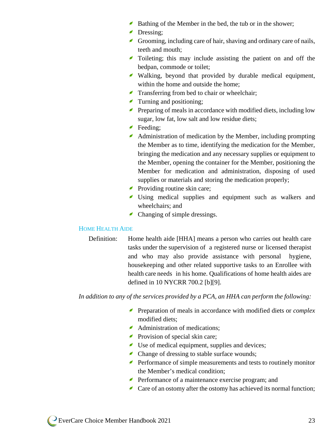- Bathing of the Member in the bed, the tub or in the shower;
- Dressing:
- Grooming, including care of hair, shaving and ordinary care of nails, teeth and mouth;
- Toileting; this may include assisting the patient on and off the bedpan, commode or toilet;
- Walking, beyond that provided by durable medical equipment, within the home and outside the home;
- Transferring from bed to chair or wheelchair;
- Turning and positioning;
- $\blacktriangleright$  Preparing of meals in accordance with modified diets, including low sugar, low fat, low salt and low residue diets;
- Feeding:
- Administration of medication by the Member, including prompting the Member as to time, identifying the medication for the Member, bringing the medication and any necessary supplies or equipment to the Member, opening the container for the Member, positioning the Member for medication and administration, disposing of used supplies or materials and storing the medication properly;
- **Providing routine skin care;**
- Using medical supplies and equipment such as walkers and wheelchairs; and
- Changing of simple dressings.

#### HOME HEALTH AIDE

Definition: Home health aide [HHA] means a person who carries out health care tasks under the supervision of a registered nurse or licensed therapist and who may also provide assistance with personal hygiene, housekeeping and other related supportive tasks to an Enrollee with health care needs in his home. Qualifications of home health aides are defined in 10 NYCRR 700.2 [b][9].

*In addition to any of the services provided by a PCA, an HHA can perform the following:* 

- Preparation of meals in accordance with modified diets or *complex* modified diets;
- Administration of medications;
- **Provision of special skin care;**
- Use of medical equipment, supplies and devices;
- Change of dressing to stable surface wounds;
- **Performance of simple measurements and tests to routinely monitor** the Member's medical condition;
- **Performance of a maintenance exercise program; and**
- $\triangle$  Care of an ostomy after the ostomy has achieved its normal function;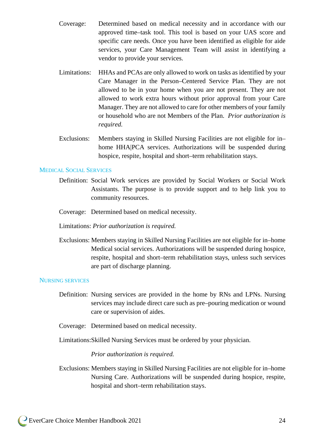- Coverage: Determined based on medical necessity and in accordance with our approved time–task tool. This tool is based on your UAS score and specific care needs. Once you have been identified as eligible for aide services, your Care Management Team will assist in identifying a vendor to provide your services.
- Limitations: HHAs and PCAs are only allowed to work on tasks as identified by your Care Manager in the Person–Centered Service Plan. They are not allowed to be in your home when you are not present. They are not allowed to work extra hours without prior approval from your Care Manager. They are not allowed to care for other members of your family or household who are not Members of the Plan. *Prior authorization is required.*
- Exclusions: Members staying in Skilled Nursing Facilities are not eligible for in– home HHA|PCA services. Authorizations will be suspended during hospice, respite, hospital and short–term rehabilitation stays.

#### MEDICAL SOCIAL SERVICES

- Definition: Social Work services are provided by Social Workers or Social Work Assistants. The purpose is to provide support and to help link you to community resources.
- Coverage: Determined based on medical necessity.
- Limitations: *Prior authorization is required.*
- Exclusions: Members staying in Skilled Nursing Facilities are not eligible for in–home Medical social services. Authorizations will be suspended during hospice, respite, hospital and short–term rehabilitation stays, unless such services are part of discharge planning.

#### NURSING SERVICES

- Definition: Nursing services are provided in the home by RNs and LPNs. Nursing services may include direct care such as pre–pouring medication or wound care or supervision of aides.
- Coverage: Determined based on medical necessity.
- Limitations:Skilled Nursing Services must be ordered by your physician.

#### *Prior authorization is required.*

Exclusions: Members staying in Skilled Nursing Facilities are not eligible for in–home Nursing Care. Authorizations will be suspended during hospice, respite, hospital and short–term rehabilitation stays.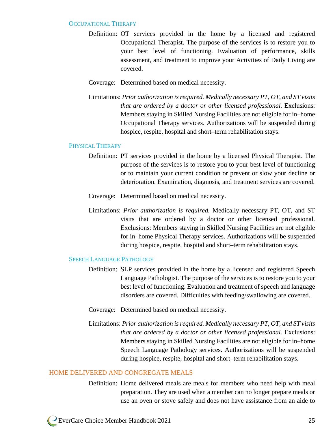#### OCCUPATIONAL THERAPY

- Definition: OT services provided in the home by a licensed and registered Occupational Therapist. The purpose of the services is to restore you to your best level of functioning. Evaluation of performance, skills assessment, and treatment to improve your Activities of Daily Living are covered.
- Coverage: Determined based on medical necessity.
- Limitations: *Prior authorization is required. Medically necessary PT, OT, and ST visits that are ordered by a doctor or other licensed professional.* Exclusions: Members staying in Skilled Nursing Facilities are not eligible for in–home Occupational Therapy services. Authorizations will be suspended during hospice, respite, hospital and short–term rehabilitation stays.

#### PHYSICAL THERAPY

- Definition: PT services provided in the home by a licensed Physical Therapist. The purpose of the services is to restore you to your best level of functioning or to maintain your current condition or prevent or slow your decline or deterioration. Examination, diagnosis, and treatment services are covered.
- Coverage: Determined based on medical necessity.
- Limitations: *Prior authorization is required.* Medically necessary PT, OT, and ST visits that are ordered by a doctor or other licensed professional. Exclusions: Members staying in Skilled Nursing Facilities are not eligible for in–home Physical Therapy services. Authorizations will be suspended during hospice, respite, hospital and short–term rehabilitation stays.

#### SPEECH LANGUAGE PATHOLOGY

- Definition: SLP services provided in the home by a licensed and registered Speech Language Pathologist. The purpose of the services is to restore you to your best level of functioning. Evaluation and treatment of speech and language disorders are covered. Difficulties with feeding/swallowing are covered.
- Coverage: Determined based on medical necessity.
- Limitations: *Prior authorization is required. Medically necessary PT, OT, and ST visits that are ordered by a doctor or other licensed professional.* Exclusions: Members staying in Skilled Nursing Facilities are not eligible for in–home Speech Language Pathology services. Authorizations will be suspended during hospice, respite, hospital and short–term rehabilitation stays.

#### HOME DELIVERED AND CONGREGATE MEALS

Definition: Home delivered meals are meals for members who need help with meal preparation. They are used when a member can no longer prepare meals or use an oven or stove safely and does not have assistance from an aide to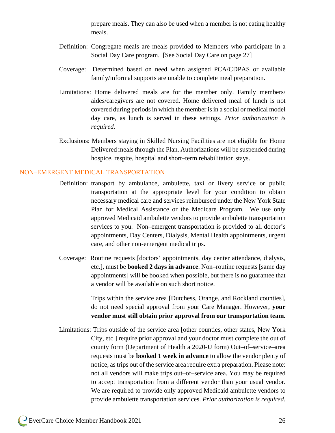prepare meals. They can also be used when a member is not eating healthy meals.

- Definition: Congregate meals are meals provided to Members who participate in a Social Day Care program. [See Social Day Care on page 27]
- Coverage: Determined based on need when assigned PCA/CDPAS or available family/informal supports are unable to complete meal preparation.
- Limitations: Home delivered meals are for the member only. Family members/ aides/caregivers are not covered. Home delivered meal of lunch is not covered during periods in which the member is in a social or medical model day care, as lunch is served in these settings. *Prior authorization is required.*
- Exclusions: Members staying in Skilled Nursing Facilities are not eligible for Home Delivered meals through the Plan. Authorizations will be suspended during hospice, respite, hospital and short–term rehabilitation stays.

#### NON–EMERGENT MEDICAL TRANSPORTATION

- Definition: transport by ambulance, ambulette, taxi or livery service or public transportation at the appropriate level for your condition to obtain necessary medical care and services reimbursed under the New York State Plan for Medical Assistance or the Medicare Program. We use only approved Medicaid ambulette vendors to provide ambulette transportation services to you. Non–emergent transportation is provided to all doctor's appointments, Day Centers, Dialysis, Mental Health appointments, urgent care, and other non-emergent medical trips.
- Coverage: Routine requests [doctors' appointments, day center attendance, dialysis, etc.], must be **booked 2 days in advance**. Non–routine requests [same day appointments] will be booked when possible, but there is no guarantee that a vendor will be available on such short notice.

Trips within the service area [Dutchess, Orange, and Rockland counties], do not need special approval from your Care Manager. However, **your vendor must still obtain prior approval from our transportation team.** 

Limitations: Trips outside of the service area [other counties, other states, New York City, etc.] require prior approval and your doctor must complete the out of county form (Department of Health a 2020-U form) Out–of–service–area requests must be **booked 1 week in advance** to allow the vendor plenty of notice, as trips out of the service area require extra preparation. Please note: not all vendors will make trips out–of–service area. You may be required to accept transportation from a different vendor than your usual vendor. We are required to provide only approved Medicaid ambulette vendors to provide ambulette transportation services. *Prior authorization is required.*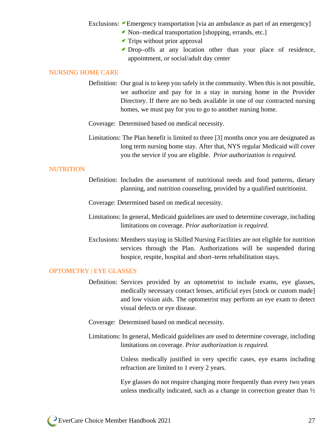Exclusions: Emergency transportation [via an ambulance as part of an emergency]

- Non–medical transportation [shopping, errands, etc.]
- $\blacktriangleright$  Trips without prior approval
- Drop–offs at any location other than your place of residence, appointment, or social/adult day center

#### NURSING HOME CARE

Definition: Our goal is to keep you safely in the community. When this is not possible, we authorize and pay for in a stay in nursing home in the Provider Directory. If there are no beds available in one of our contracted nursing homes, we must pay for you to go to another nursing home.

Coverage: Determined based on medical necessity.

Limitations: The Plan benefit is limited to three [3] months once you are designated as long term nursing home stay. After that, NYS regular Medicaid will cover you the service if you are eligible. *Prior authorization is required.*

#### **NUTRITION**

Definition: Includes the assessment of nutritional needs and food patterns, dietary planning, and nutrition counseling, provided by a qualified nutritionist.

Coverage: Determined based on medical necessity.

- Limitations: In general, Medicaid guidelines are used to determine coverage, including limitations on coverage. *Prior authorization is required.*
- Exclusions: Members staying in Skilled Nursing Facilities are not eligible for nutrition services through the Plan. Authorizations will be suspended during hospice, respite, hospital and short–term rehabilitation stays.

#### OPTOMETRY | EYE GLASSES

- Definition: Services provided by an optometrist to include exams, eye glasses, medically necessary contact lenses, artificial eyes [stock or custom made] and low vision aids. The optometrist may perform an eye exam to detect visual defects or eye disease.
- Coverage: Determined based on medical necessity.
- Limitations: In general, Medicaid guidelines are used to determine coverage, including limitations on coverage. *Prior authorization is required.*

Unless medically justified in very specific cases, eye exams including refraction are limited to 1 every 2 years.

Eye glasses do not require changing more frequently than every two years unless medically indicated, such as a change in correction greater than  $\frac{1}{2}$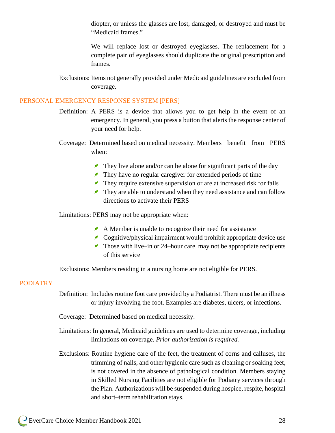diopter, or unless the glasses are lost, damaged, or destroyed and must be "Medicaid frames."

We will replace lost or destroyed eyeglasses. The replacement for a complete pair of eyeglasses should duplicate the original prescription and frames.

Exclusions: Items not generally provided under Medicaid guidelines are excluded from coverage.

#### PERSONAL EMERGENCY RESPONSE SYSTEM [PERS]

- Definition: A PERS is a device that allows you to get help in the event of an emergency. In general, you press a button that alerts the response center of your need for help.
- Coverage: Determined based on medical necessity. Members benefit from PERS when:
	- They live alone and/or can be alone for significant parts of the day
	- They have no regular caregiver for extended periods of time
	- $\blacktriangleright$  They require extensive supervision or are at increased risk for falls
	- They are able to understand when they need assistance and can follow directions to activate their PERS

Limitations: PERS may not be appropriate when:

- A Member is unable to recognize their need for assistance
- Cognitive/physical impairment would prohibit appropriate device use
- $\blacktriangleright$  Those with live–in or 24–hour care may not be appropriate recipients of this service

Exclusions: Members residing in a nursing home are not eligible for PERS.

#### PODIATRY

- Definition: Includes routine foot care provided by a Podiatrist. There must be an illness or injury involving the foot. Examples are diabetes, ulcers, or infections.
- Coverage: Determined based on medical necessity.
- Limitations: In general, Medicaid guidelines are used to determine coverage, including limitations on coverage. *Prior authorization is required.*
- Exclusions: Routine hygiene care of the feet, the treatment of corns and calluses, the trimming of nails, and other hygienic care such as cleaning or soaking feet, is not covered in the absence of pathological condition. Members staying in Skilled Nursing Facilities are not eligible for Podiatry services through the Plan. Authorizations will be suspended during hospice, respite, hospital and short–term rehabilitation stays.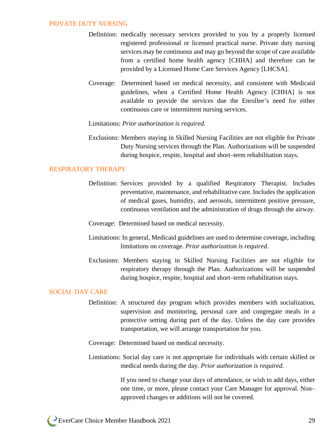#### PRIVATE DUTY NURSING

- Definition: medically necessary services provided to you by a properly licensed registered professional or licensed practical nurse. Private duty nursing services may be continuous and may go beyond the scope of care available from a certified home health agency [CHHA] and therefore can be provided by a Licensed Home Care Services Agency [LHCSA].
- Coverage: Determined based on medical necessity, and consistent with Medicaid guidelines, when a Certified Home Health Agency [CHHA] is not available to provide the services due the Enrollee's need for either continuous care or intermittent nursing services.
- Limitations: *Prior authorization is required.*
- Exclusions: Members staying in Skilled Nursing Facilities are not eligible for Private Duty Nursing services through the Plan. Authorizations will be suspended during hospice, respite, hospital and short–term rehabilitation stays.

#### RESPIRATORY THERAPY

- Definition: Services provided by a qualified Respiratory Therapist. Includes preventative, maintenance, and rehabilitative care. Includes the application of medical gases, humidity, and aerosols, intermittent positive pressure, continuous ventilation and the administration of drugs through the airway.
- Coverage: Determined based on medical necessity.
- Limitations: In general, Medicaid guidelines are used to determine coverage, including limitations on coverage. *Prior authorization is required.*
- Exclusions: Members staying in Skilled Nursing Facilities are not eligible for respiratory therapy through the Plan. Authorizations will be suspended during hospice, respite, hospital and short–term rehabilitation stays.

#### SOCIAL DAY CARE

Definition: A structured day program which provides members with socialization, supervision and monitoring, personal care and congregate meals in a protective setting during part of the day. Unless the day care provides transportation, we will arrange transportation for you.

Coverage: Determined based on medical necessity.

Limitations: Social day care is not appropriate for individuals with certain skilled or medical needs during the day. *Prior authorization is required.*

> If you need to change your days of attendance, or wish to add days, either one time, or more, please contact your Care Manager for approval. Non– approved changes or additions will not be covered.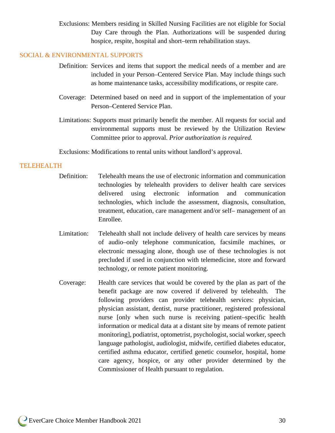Exclusions: Members residing in Skilled Nursing Facilities are not eligible for Social Day Care through the Plan. Authorizations will be suspended during hospice, respite, hospital and short–term rehabilitation stays.

#### SOCIAL & ENVIRONMENTAL SUPPORTS

- Definition: Services and items that support the medical needs of a member and are included in your Person–Centered Service Plan. May include things such as home maintenance tasks, accessibility modifications, or respite care.
- Coverage: Determined based on need and in support of the implementation of your Person–Centered Service Plan.
- Limitations: Supports must primarily benefit the member. All requests for social and environmental supports must be reviewed by the Utilization Review Committee prior to approval. *Prior authorization is required.*

Exclusions: Modifications to rental units without landlord's approval.

#### TELEHEALTH

- Definition: Telehealth means the use of electronic information and communication technologies by telehealth providers to deliver health care services delivered using electronic information and communication technologies, which include the assessment, diagnosis, consultation, treatment, education, care management and/or self– management of an Enrollee.
- Limitation: Telehealth shall not include delivery of health care services by means of audio–only telephone communication, facsimile machines, or electronic messaging alone, though use of these technologies is not precluded if used in conjunction with telemedicine, store and forward technology, or remote patient monitoring.
- Coverage: Health care services that would be covered by the plan as part of the benefit package are now covered if delivered by telehealth. The following providers can provider telehealth services: physician, physician assistant, dentist, nurse practitioner, registered professional nurse [only when such nurse is receiving patient–specific health information or medical data at a distant site by means of remote patient monitoring], podiatrist, optometrist, psychologist, social worker, speech language pathologist, audiologist, midwife, certified diabetes educator, certified asthma educator, certified genetic counselor, hospital, home care agency, hospice, or any other provider determined by the Commissioner of Health pursuant to regulation.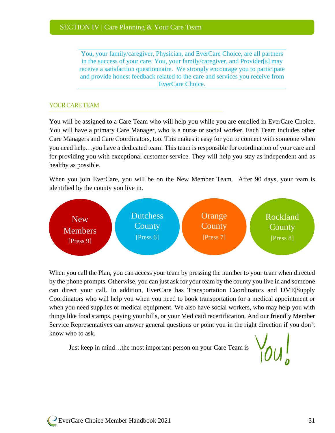You, your family/caregiver, Physician, and EverCare Choice, are all partners in the success of your care. You, your family/caregiver, and Provider[s] may receive a satisfaction questionnaire. We strongly encourage you to participate and provide honest feedback related to the care and services you receive from EverCare Choice.

#### YOUR CARE TEAM

You will be assigned to a Care Team who will help you while you are enrolled in EverCare Choice. You will have a primary Care Manager, who is a nurse or social worker. Each Team includes other Care Managers and Care Coordinators, too. This makes it easy for you to connect with someone when you need help…you have a dedicated team! This team is responsible for coordination of your care and for providing you with exceptional customer service. They will help you stay as independent and as healthy as possible.

When you join EverCare, you will be on the New Member Team. After 90 days, your team is identified by the county you live in.



When you call the Plan, you can access your team by pressing the number to your team when directed by the phone prompts. Otherwise, you can just ask for your team by the county you live in and someone can direct your call. In addition, EverCare has Transportation Coordinators and DME|Supply Coordinators who will help you when you need to book transportation for a medical appointment or when you need supplies or medical equipment. We also have social workers, who may help you with things like food stamps, paying your bills, or your Medicaid recertification. And our friendly Member Service Representatives can answer general questions or point you in the right direction if you don't know who to ask.

Just keep in mind…the most important person on your Care Team is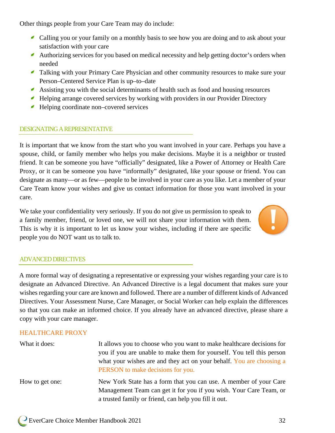Other things people from your Care Team may do include:

- Calling you or your family on a monthly basis to see how you are doing and to ask about your satisfaction with your care
- Authorizing services for you based on medical necessity and help getting doctor's orders when needed
- Talking with your Primary Care Physician and other community resources to make sure your Person–Centered Service Plan is up–to–date
- Assisting you with the social determinants of health such as food and housing resources
- Helping arrange covered services by working with providers in our Provider Directory
- Helping coordinate non–covered services ◢

#### DESIGNATING A REPRESENTATIVE

It is important that we know from the start who you want involved in your care. Perhaps you have a spouse, child, or family member who helps you make decisions. Maybe it is a neighbor or trusted friend. It can be someone you have "officially" designated, like a Power of Attorney or Health Care Proxy, or it can be someone you have "informally" designated, like your spouse or friend. You can designate as many—or as few—people to be involved in your care as you like. Let a member of your Care Team know your wishes and give us contact information for those you want involved in your care.

We take your confidentiality very seriously. If you do not give us permission to speak to a family member, friend, or loved one, we will not share your information with them. This is why it is important to let us know your wishes, including if there are specific people you do NOT want us to talk to.



#### ADVANCED DIRECTIVES

A more formal way of designating a representative or expressing your wishes regarding your care is to designate an Advanced Directive. An Advanced Directive is a legal document that makes sure your wishes regarding your care are known and followed. There are a number of different kinds of Advanced Directives. Your Assessment Nurse, Care Manager, or Social Worker can help explain the differences so that you can make an informed choice. If you already have an advanced directive, please share a copy with your care manager.

#### HEALTHCARE PROXY

| What it does:   | It allows you to choose who you want to make healthcare decisions for<br>you if you are unable to make them for yourself. You tell this person<br>what your wishes are and they act on your behalf. You are choosing a<br>PERSON to make decisions for you. |
|-----------------|-------------------------------------------------------------------------------------------------------------------------------------------------------------------------------------------------------------------------------------------------------------|
| How to get one: | New York State has a form that you can use. A member of your Care<br>Management Team can get it for you if you wish. Your Care Team, or<br>a trusted family or friend, can help you fill it out.                                                            |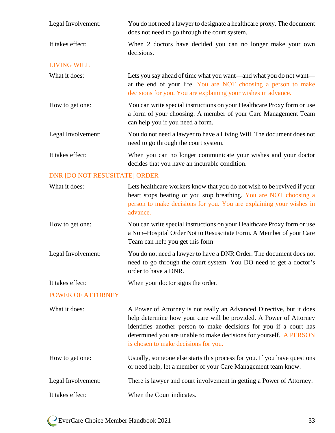| Legal Involvement:                   | You do not need a lawyer to designate a healthcare proxy. The document<br>does not need to go through the court system.                                                                               |
|--------------------------------------|-------------------------------------------------------------------------------------------------------------------------------------------------------------------------------------------------------|
| It takes effect:                     | When 2 doctors have decided you can no longer make your own<br>decisions.                                                                                                                             |
| <b>LIVING WILL</b>                   |                                                                                                                                                                                                       |
| What it does:                        | Lets you say ahead of time what you want—and what you do not want—<br>at the end of your life. You are NOT choosing a person to make<br>decisions for you. You are explaining your wishes in advance. |
| How to get one:                      | You can write special instructions on your Healthcare Proxy form or use<br>a form of your choosing. A member of your Care Management Team<br>can help you if you need a form.                         |
| Legal Involvement:                   | You do not need a lawyer to have a Living Will. The document does not<br>need to go through the court system.                                                                                         |
| It takes effect:                     | When you can no longer communicate your wishes and your doctor<br>decides that you have an incurable condition.                                                                                       |
| <b>DNR [DO NOT RESUSITATE] ORDER</b> |                                                                                                                                                                                                       |
| What it does:                        | Lets healthcare workers know that you do not wish to be revived if your<br>heart stops beating or you stop breathing. You are NOT choosing a                                                          |

advance. How to get one: You can write special instructions on your Healthcare Proxy form or use a Non–Hospital Order Not to Resuscitate Form. A Member of your Care Team can help you get this form

person to make decisions for you. You are explaining your wishes in

Legal Involvement: You do not need a lawyer to have a DNR Order. The document does not need to go through the court system. You DO need to get a doctor's order to have a DNR.

It takes effect: When your doctor signs the order.

#### POWER OF ATTORNEY

What it does: A Power of Attorney is not really an Advanced Directive, but it does help determine how your care will be provided. A Power of Attorney identifies another person to make decisions for you if a court has determined you are unable to make decisions for yourself. A PERSON is chosen to make decisions for you. How to get one: Usually, someone else starts this process for you. If you have questions

or need help, let a member of your Care Management team know. Legal Involvement: There is lawyer and court involvement in getting a Power of Attorney. It takes effect: When the Court indicates.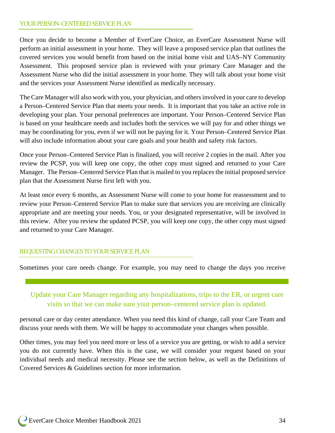#### YOUR PERSON–CENTERED SERVICE PLAN

Once you decide to become a Member of EverCare Choice, an EverCare Assessment Nurse will perform an initial assessment in your home. They will leave a proposed service plan that outlines the covered services you would benefit from based on the initial home visit and UAS–NY Community Assessment. This proposed service plan is reviewed with your primary Care Manager and the Assessment Nurse who did the initial assessment in your home. They will talk about your home visit and the services your Assessment Nurse identified as medically necessary.

The Care Manager will also work with you, your physician, and others involved in your care to develop a Person–Centered Service Plan that meets your needs. It is important that you take an active role in developing your plan. Your personal preferences are important. Your Person–Centered Service Plan is based on your healthcare needs and includes both the services we will pay for and other things we may be coordinating for you, even if we will not be paying for it. Your Person–Centered Service Plan will also include information about your care goals and your health and safety risk factors.

Once your Person–Centered Service Plan is finalized, you will receive 2 copies in the mail. After you review the PCSP, you will keep one copy, the other copy must signed and returned to your Care Manager. The Person–Centered Service Plan that is mailed to you replaces the initial proposed service plan that the Assessment Nurse first left with you.

At least once every 6 months, an Assessment Nurse will come to your home for reassessment and to review your Person–Centered Service Plan to make sure that services you are receiving are clinically appropriate and are meeting your needs. You, or your designated representative, will be involved in this review. After you review the updated PCSP, you will keep one copy, the other copy must signed and returned to your Care Manager.

#### REQUESTINGCHANGES TO YOUR SERVICE PLAN

Sometimes your care needs change. For example, you may need to change the days you receive

Update your Care Manager regarding any hospitalizations, trips to the ER, or urgent care visits so that we can make sure your person–centered service plan is updated.

personal care or day center attendance. When you need this kind of change, call your Care Team and discuss your needs with them. We will be happy to accommodate your changes when possible.

Other times, you may feel you need more or less of a service you are getting, or wish to add a service you do not currently have. When this is the case, we will consider your request based on your individual needs and medical necessity. Please see the section below, as well as the Definitions of Covered Services & Guidelines section for more information.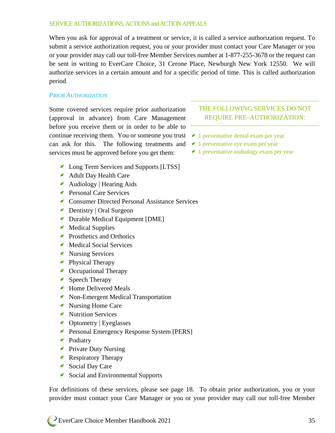#### SERVICE AUTHORIZATIONS, ACTIONS and ACTION APPEALS

When you ask for approval of a treatment or service, it is called a service authorization request. To submit a service authorization request, you or your provider must contact your Care Manager or you or your provider may call our toll-free Member Services number at 1-877-255-3678 or the request can be sent in writing to EverCare Choice, 31 Cerone Place, Newburgh New York 12550. We will authorize services in a certain amount and for a specific period of time. This is called authorization period.

#### *PRIOR AUTHORIZATION*

Some covered services require prior authorization (approval in advance) from Care Management before you receive them or in order to be able to continue receiving them. You or someone you trust can ask for this. The following treatments and  $\blacksquare$  1 preventative eye exam per year services must be approved before you get them:

- Long Term Services and Supports [LTSS]
- **Adult Day Health Care**
- Audiology | Hearing Aids
- **Personal Care Services**
- **Consumer Directed Personal Assistance Services**
- Dentistry | Oral Surgeon
- Durable Medical Equipment [DME]
- Medical Supplies
- **Prosthetics and Orthotics**
- Medical Social Services
- Nursing Services
- **Physical Therapy**
- Occupational Therapy
- Speech Therapy
- Home Delivered Meals
- Non-Emergent Medical Transportation
- Nursing Home Care
- Nutrition Services
- Optometry | Eyeglasses
- Personal Emergency Response System [PERS]
- Podiatry
- **Private Duty Nursing**
- Respiratory Therapy
- Social Day Care
- Social and Environmental Supports

For definitions of these services, please see page 18. To obtain prior authorization, you or your provider must contact your Care Manager or you or your provider may call our toll-free Member

# THE FOLLOWING SERVICES DO NOT REQUIRE PRE–AUTHORIZATION:

- $\sim$  1 preventative dental exam per year
- 
- 1 preventative audiology exam per year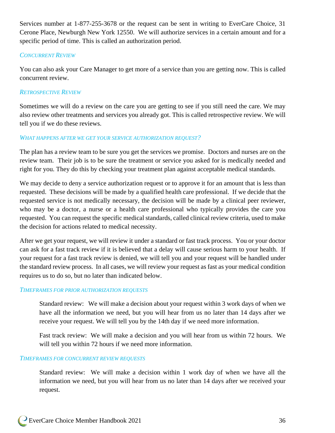Services number at 1-877-255-3678 or the request can be sent in writing to EverCare Choice, 31 Cerone Place, Newburgh New York 12550. We will authorize services in a certain amount and for a specific period of time. This is called an authorization period.

#### *CONCURRENT REVIEW*

You can also ask your Care Manager to get more of a service than you are getting now. This is called concurrent review.

#### *RETROSPECTIVE REVIEW*

Sometimes we will do a review on the care you are getting to see if you still need the care. We may also review other treatments and services you already got. This is called retrospective review. We will tell you if we do these reviews.

#### *WHAT HAPPENS AFTER WE GET YOUR SERVICE AUTHORIZATION REQUEST?*

The plan has a review team to be sure you get the services we promise. Doctors and nurses are on the review team. Their job is to be sure the treatment or service you asked for is medically needed and right for you. They do this by checking your treatment plan against acceptable medical standards.

We may decide to deny a service authorization request or to approve it for an amount that is less than requested. These decisions will be made by a qualified health care professional. If we decide that the requested service is not medically necessary, the decision will be made by a clinical peer reviewer, who may be a doctor, a nurse or a health care professional who typically provides the care you requested. You can request the specific medical standards, called clinical review criteria, used to make the decision for actions related to medical necessity.

After we get your request, we will review it under a standard or fast track process. You or your doctor can ask for a fast track review if it is believed that a delay will cause serious harm to your health. If your request for a fast track review is denied, we will tell you and your request will be handled under the standard review process. In all cases, we will review your request as fast as your medical condition requires us to do so, but no later than indicated below.

#### *TIMEFRAMES FOR PRIOR AUTHORIZATION REQUESTS*

Standard review: We will make a decision about your request within 3 work days of when we have all the information we need, but you will hear from us no later than 14 days after we receive your request. We will tell you by the 14th day if we need more information.

Fast track review: We will make a decision and you will hear from us within 72 hours. We will tell you within 72 hours if we need more information.

#### *TIMEFRAMES FOR CONCURRENT REVIEW REQUESTS*

Standard review: We will make a decision within 1 work day of when we have all the information we need, but you will hear from us no later than 14 days after we received your request.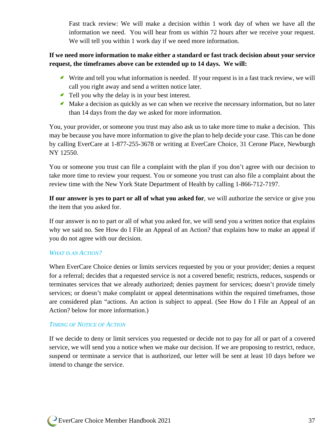Fast track review: We will make a decision within 1 work day of when we have all the information we need. You will hear from us within 72 hours after we receive your request. We will tell you within 1 work day if we need more information.

# **If we need more information to make either a standard or fast track decision about your service request, the timeframes above can be extended up to 14 days. We will:**

- Write and tell you what information is needed. If your request is in a fast track review, we will call you right away and send a written notice later.
- Tell you why the delay is in your best interest.
- $\blacktriangle$  Make a decision as quickly as we can when we receive the necessary information, but no later than 14 days from the day we asked for more information.

You, your provider, or someone you trust may also ask us to take more time to make a decision. This may be because you have more information to give the plan to help decide your case. This can be done by calling EverCare at 1-877-255-3678 or writing at EverCare Choice, 31 Cerone Place, Newburgh NY 12550.

You or someone you trust can file a complaint with the plan if you don't agree with our decision to take more time to review your request. You or someone you trust can also file a complaint about the review time with the New York State Department of Health by calling 1-866-712-7197.

**If our answer is yes to part or all of what you asked for**, we will authorize the service or give you the item that you asked for.

If our answer is no to part or all of what you asked for, we will send you a written notice that explains why we said no. See How do I File an Appeal of an Action? that explains how to make an appeal if you do not agree with our decision.

#### *WHAT IS AN ACTION?*

When EverCare Choice denies or limits services requested by you or your provider; denies a request for a referral; decides that a requested service is not a covered benefit; restricts, reduces, suspends or terminates services that we already authorized; denies payment for services; doesn't provide timely services; or doesn't make complaint or appeal determinations within the required timeframes, those are considered plan "actions. An action is subject to appeal. (See How do I File an Appeal of an Action? below for more information.)

#### *TIMING OF NOTICE OF ACTION*

If we decide to deny or limit services you requested or decide not to pay for all or part of a covered service, we will send you a notice when we make our decision. If we are proposing to restrict, reduce, suspend or terminate a service that is authorized, our letter will be sent at least 10 days before we intend to change the service.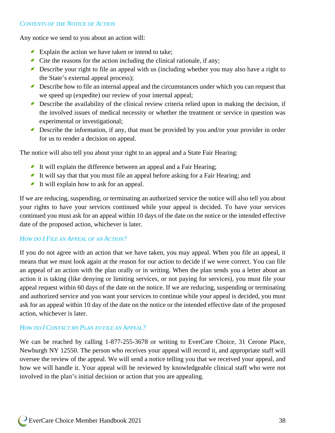# *CONTENTS OF THE NOTICE OF ACTION*

Any notice we send to you about an action will:

- Explain the action we have taken or intend to take;
- $\triangle$  Cite the reasons for the action including the clinical rationale, if any;
- Describe your right to file an appeal with us (including whether you may also have a right to the State's external appeal process);
- Describe how to file an internal appeal and the circumstances under which you can request that we speed up (expedite) our review of your internal appeal;
- Describe the availability of the clinical review criteria relied upon in making the decision, if the involved issues of medical necessity or whether the treatment or service in question was experimental or investigational;
- Describe the information, if any, that must be provided by you and/or your provider in order for us to render a decision on appeal.

The notice will also tell you about your right to an appeal and a State Fair Hearing:

- It will explain the difference between an appeal and a Fair Hearing;
- It will say that that you must file an appeal before asking for a Fair Hearing; and
- It will explain how to ask for an appeal.

If we are reducing, suspending, or terminating an authorized service the notice will also tell you about your rights to have your services continued while your appeal is decided. To have your services continued you must ask for an appeal within 10 days of the date on the notice or the intended effective date of the proposed action, whichever is later.

#### *HOW DO I FILE AN APPEAL OF AN ACTION?*

If you do not agree with an action that we have taken, you may appeal. When you file an appeal, it means that we must look again at the reason for our action to decide if we were correct. You can file an appeal of an action with the plan orally or in writing. When the plan sends you a letter about an action it is taking (like denying or limiting services, or not paying for services), you must file your appeal request within 60 days of the date on the notice. If we are reducing, suspending or terminating and authorized service and you want your services to continue while your appeal is decided, you must ask for an appeal within 10 day of the date on the notice or the intended effective date of the proposed action, whichever is later.

#### *HOW DO I CONTACT MY PLAN TO FILE AN APPEAL?*

We can be reached by calling 1-877-255-3678 or writing to EverCare Choice, 31 Cerone Place, Newburgh NY 12550. The person who receives your appeal will record it, and appropriate staff will oversee the review of the appeal. We will send a notice telling you that we received your appeal, and how we will handle it. Your appeal will be reviewed by knowledgeable clinical staff who were not involved in the plan's initial decision or action that you are appealing.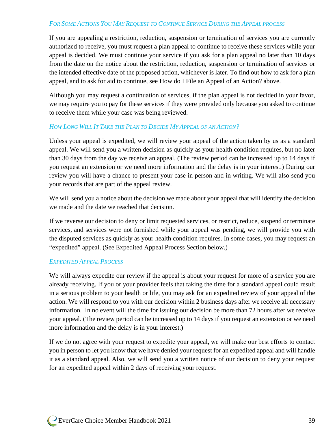#### *FOR SOME ACTIONS YOU MAY REQUEST TO CONTINUE SERVICE DURING THE APPEAL PROCESS*

If you are appealing a restriction, reduction, suspension or termination of services you are currently authorized to receive, you must request a plan appeal to continue to receive these services while your appeal is decided. We must continue your service if you ask for a plan appeal no later than 10 days from the date on the notice about the restriction, reduction, suspension or termination of services or the intended effective date of the proposed action, whichever is later. To find out how to ask for a plan appeal, and to ask for aid to continue, see How do I File an Appeal of an Action? above.

Although you may request a continuation of services, if the plan appeal is not decided in your favor, we may require you to pay for these services if they were provided only because you asked to continue to receive them while your case was being reviewed.

#### *HOW LONG WILL IT TAKE THE PLAN TO DECIDE MY APPEAL OF AN ACTION?*

Unless your appeal is expedited, we will review your appeal of the action taken by us as a standard appeal. We will send you a written decision as quickly as your health condition requires, but no later than 30 days from the day we receive an appeal. (The review period can be increased up to 14 days if you request an extension or we need more information and the delay is in your interest.) During our review you will have a chance to present your case in person and in writing. We will also send you your records that are part of the appeal review.

We will send you a notice about the decision we made about your appeal that will identify the decision we made and the date we reached that decision.

If we reverse our decision to deny or limit requested services, or restrict, reduce, suspend or terminate services, and services were not furnished while your appeal was pending, we will provide you with the disputed services as quickly as your health condition requires. In some cases, you may request an "expedited" appeal. (See Expedited Appeal Process Section below.)

#### *EXPEDITED APPEAL PROCESS*

We will always expedite our review if the appeal is about your request for more of a service you are already receiving. If you or your provider feels that taking the time for a standard appeal could result in a serious problem to your health or life, you may ask for an expedited review of your appeal of the action. We will respond to you with our decision within 2 business days after we receive all necessary information. In no event will the time for issuing our decision be more than 72 hours after we receive your appeal. (The review period can be increased up to 14 days if you request an extension or we need more information and the delay is in your interest.)

If we do not agree with your request to expedite your appeal, we will make our best efforts to contact you in person to let you know that we have denied your request for an expedited appeal and will handle it as a standard appeal. Also, we will send you a written notice of our decision to deny your request for an expedited appeal within 2 days of receiving your request.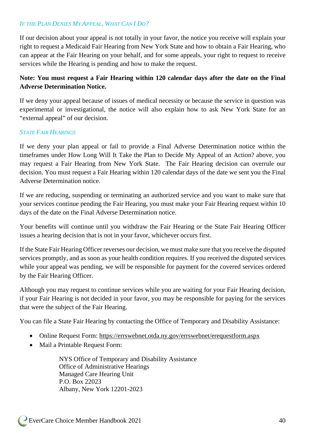# *IF THE PLAN DENIES MY APPEAL, WHAT CAN I DO?*

If our decision about your appeal is not totally in your favor, the notice you receive will explain your right to request a Medicaid Fair Hearing from New York State and how to obtain a Fair Hearing, who can appear at the Fair Hearing on your behalf, and for some appeals, your right to request to receive services while the Hearing is pending and how to make the request.

# **Note: You must request a Fair Hearing within 120 calendar days after the date on the Final Adverse Determination Notice.**

If we deny your appeal because of issues of medical necessity or because the service in question was experimental or investigational, the notice will also explain how to ask New York State for an "external appeal" of our decision.

# *STATE FAIR HEARINGS*

If we deny your plan appeal or fail to provide a Final Adverse Determination notice within the timeframes under How Long Will It Take the Plan to Decide My Appeal of an Action? above, you may request a Fair Hearing from New York State. The Fair Hearing decision can overrule our decision. You must request a Fair Hearing within 120 calendar days of the date we sent you the Final Adverse Determination notice.

If we are reducing, suspending or terminating an authorized service and you want to make sure that your services continue pending the Fair Hearing, you must make your Fair Hearing request within 10 days of the date on the Final Adverse Determination notice.

Your benefits will continue until you withdraw the Fair Hearing or the State Fair Hearing Officer issues a hearing decision that is not in your favor, whichever occurs first.

If the State Fair Hearing Officer reverses our decision, we must make sure that you receive the disputed services promptly, and as soon as your health condition requires. If you received the disputed services while your appeal was pending, we will be responsible for payment for the covered services ordered by the Fair Hearing Officer.

Although you may request to continue services while you are waiting for your Fair Hearing decision, if your Fair Hearing is not decided in your favor, you may be responsible for paying for the services that were the subject of the Fair Hearing.

You can file a State Fair Hearing by contacting the Office of Temporary and Disability Assistance:

- Online Request Form:<https://errswebnet.otda.ny.gov/errswebnet/erequestform.aspx>
- Mail a Printable Request Form:

NYS Office of Temporary and Disability Assistance Office of Administrative Hearings Managed Care Hearing Unit P.O. Box 22023 Albany, New York 12201-2023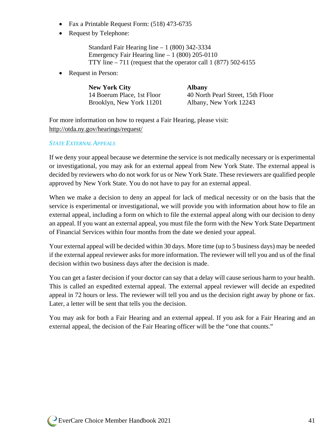- Fax a Printable Request Form: (518) 473-6735
- Request by Telephone:

Standard Fair Hearing line – 1 (800) 342-3334 Emergency Fair Hearing line  $-1$  (800) 205-0110 TTY line  $-711$  (request that the operator call 1 (877) 502-6155

• Request in Person:

| <b>New York City</b>       | <b>Albany</b>                     |
|----------------------------|-----------------------------------|
| 14 Boerum Place, 1st Floor | 40 North Pearl Street, 15th Floor |
| Brooklyn, New York 11201   | Albany, New York 12243            |

For more information on how to request a Fair Hearing, please visit: <http://otda.ny.gov/hearings/request/>

#### *STATE EXTERNAL APPEALS*

If we deny your appeal because we determine the service is not medically necessary or is experimental or investigational, you may ask for an external appeal from New York State. The external appeal is decided by reviewers who do not work for us or New York State. These reviewers are qualified people approved by New York State. You do not have to pay for an external appeal.

When we make a decision to deny an appeal for lack of medical necessity or on the basis that the service is experimental or investigational, we will provide you with information about how to file an external appeal, including a form on which to file the external appeal along with our decision to deny an appeal. If you want an external appeal, you must file the form with the New York State Department of Financial Services within four months from the date we denied your appeal.

Your external appeal will be decided within 30 days. More time (up to 5 business days) may be needed if the external appeal reviewer asks for more information. The reviewer will tell you and us of the final decision within two business days after the decision is made.

You can get a faster decision if your doctor can say that a delay will cause serious harm to your health. This is called an expedited external appeal. The external appeal reviewer will decide an expedited appeal in 72 hours or less. The reviewer will tell you and us the decision right away by phone or fax. Later, a letter will be sent that tells you the decision.

You may ask for both a Fair Hearing and an external appeal. If you ask for a Fair Hearing and an external appeal, the decision of the Fair Hearing officer will be the "one that counts."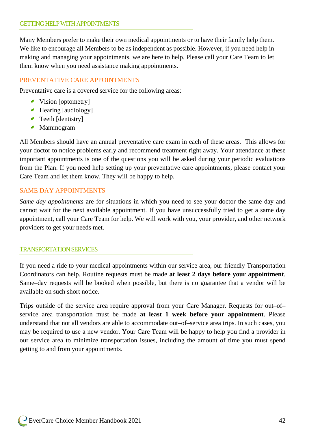Many Members prefer to make their own medical appointments or to have their family help them. We like to encourage all Members to be as independent as possible. However, if you need help in making and managing your appointments, we are here to help. Please call your Care Team to let them know when you need assistance making appointments.

# PREVENTATIVE CARE APPOINTMENTS

Preventative care is a covered service for the following areas:

- Vision [optometry]
- Hearing [audiology]
- **Teeth [dentistry]**
- Mammogram

All Members should have an annual preventative care exam in each of these areas. This allows for your doctor to notice problems early and recommend treatment right away. Your attendance at these important appointments is one of the questions you will be asked during your periodic evaluations from the Plan. If you need help setting up your preventative care appointments, please contact your Care Team and let them know. They will be happy to help.

#### SAME DAY APPOINTMENTS

*Same day appointments* are for situations in which you need to see your doctor the same day and cannot wait for the next available appointment. If you have unsuccessfully tried to get a same day appointment, call your Care Team for help. We will work with you, your provider, and other network providers to get your needs met.

#### TRANSPORTATION SERVICES

If you need a ride to your medical appointments within our service area, our friendly Transportation Coordinators can help. Routine requests must be made **at least 2 days before your appointment**. Same–day requests will be booked when possible, but there is no guarantee that a vendor will be available on such short notice.

Trips outside of the service area require approval from your Care Manager. Requests for out–of– service area transportation must be made **at least 1 week before your appointment**. Please understand that not all vendors are able to accommodate out–of–service area trips. In such cases, you may be required to use a new vendor. Your Care Team will be happy to help you find a provider in our service area to minimize transportation issues, including the amount of time you must spend getting to and from your appointments.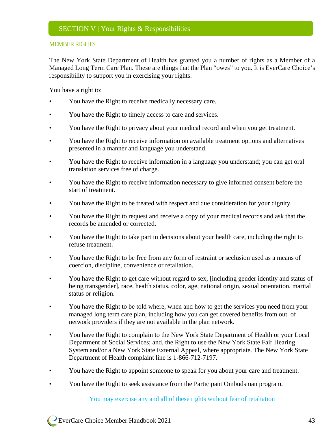#### MEMBER RIGHTS

The New York State Department of Health has granted you a number of rights as a Member of a Managed Long Term Care Plan. These are things that the Plan "owes" to you. It is EverCare Choice's responsibility to support you in exercising your rights.

You have a right to:

- You have the Right to receive medically necessary care.
- You have the Right to timely access to care and services.
- You have the Right to privacy about your medical record and when you get treatment.
- You have the Right to receive information on available treatment options and alternatives presented in a manner and language you understand.
- You have the Right to receive information in a language you understand; you can get oral translation services free of charge.
- You have the Right to receive information necessary to give informed consent before the start of treatment.
- You have the Right to be treated with respect and due consideration for your dignity.
- You have the Right to request and receive a copy of your medical records and ask that the records be amended or corrected.
- You have the Right to take part in decisions about your health care, including the right to refuse treatment.
- You have the Right to be free from any form of restraint or seclusion used as a means of coercion, discipline, convenience or retaliation.
- You have the Right to get care without regard to sex, [including gender identity and status of being transgender], race, health status, color, age, national origin, sexual orientation, marital status or religion.
- You have the Right to be told where, when and how to get the services you need from your managed long term care plan, including how you can get covered benefits from out–of– network providers if they are not available in the plan network.
- You have the Right to complain to the New York State Department of Health or your Local Department of Social Services; and, the Right to use the New York State Fair Hearing System and/or a New York State External Appeal, where appropriate. The New York State Department of Health complaint line is 1-866-712-7197.
- You have the Right to appoint someone to speak for you about your care and treatment.
- You have the Right to seek assistance from the Participant Ombudsman program.

You may exercise any and all of these rights without fear of retaliation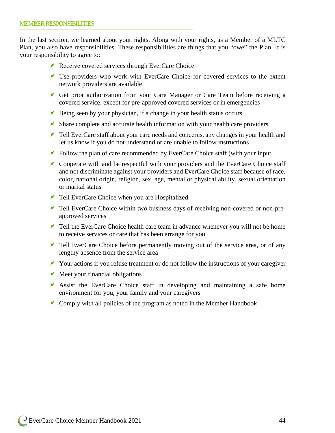In the last section, we learned about your rights. Along with your rights, as a Member of a MLTC Plan, you also have responsibilities. These responsibilities are things that you "owe" the Plan. It is your responsibility to agree to:

- Receive covered services through EverCare Choice
- Use providers who work with EverCare Choice for covered services to the extent network providers are available
- Get prior authorization from your Care Manager or Care Team before receiving a covered service, except for pre-approved covered services or in emergencies
- Being seen by your physician, if a change in your health status occurs
- Share complete and accurate health information with your health care providers
- Tell EverCare staff about your care needs and concerns, any changes in your health and let us know if you do not understand or are unable to follow instructions
- Follow the plan of care recommended by EverCare Choice staff (with your input
- Cooperate with and be respectful with your providers and the EverCare Choice staff and not discriminate against your providers and EverCare Choice staff because of race, color, national origin, religion, sex, age, mental or physical ability, sexual orientation or marital status
- Tell EverCare Choice when you are Hospitalized
- Tell EverCare Choice within two business days of receiving non-covered or non-preapproved services
- Tell the EverCare Choice health care team in advance whenever you will not be home to receive services or care that has been arrange for you
- Tell EverCare Choice before permanently moving out of the service area, or of any lengthy absence from the service area
- Your actions if you refuse treatment or do not follow the instructions of your caregiver
- $\blacktriangle$  Meet your financial obligations
- Assist the EverCare Choice staff in developing and maintaining a safe home environment for you, your family and your caregivers
- Comply with all policies of the program as noted in the Member Handbook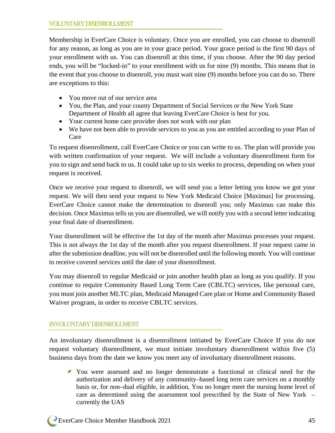Membership in EverCare Choice is voluntary. Once you are enrolled, you can choose to disenroll for any reason, as long as you are in your grace period. Your grace period is the first 90 days of your enrollment with us. You can disenroll at this time, if you choose. After the 90 day period ends, you will be "locked-in" to your enrollment with us for nine (9) months. This means that in the event that you choose to disenroll, you must wait nine (9) months before you can do so. There are exceptions to this:

- You move out of our service area
- You, the Plan, and your county Department of Social Services or the New York State Department of Health all agree that leaving EverCare Choice is best for you.
- Your current home care provider does not work with our plan
- We have not been able to provide services to you as you are entitled according to your Plan of Care

To request disenrollment, call EverCare Choice or you can write to us. The plan will provide you with written confirmation of your request. We will include a voluntary disenrollment form for you to sign and send back to us. It could take up to six weeks to process, depending on when your request is received.

Once we receive your request to disenroll, we will send you a letter letting you know we got your request. We will then send your request to New York Medicaid Choice [Maximus] for processing. EverCare Choice cannot make the determination to disenroll you; only Maximus can make this decision. Once Maximus tells us you are disenrolled, we will notify you with a second letter indicating your final date of disenrollment.

Your disenrollment will be effective the 1st day of the month after Maximus processes your request. This is not always the 1st day of the month after you request disenrollment. If your request came in after the submission deadline, you will not be disenrolled until the following month. You will continue to receive covered services until the date of your disenrollment.

You may disenroll to regular Medicaid or join another health plan as long as you qualify. If you continue to require Community Based Long Term Care (CBLTC) services, like personal care, you must join another MLTC plan, Medicaid Managed Care plan or Home and Community Based Waiver program, in order to receive CBLTC services.

#### INVOLUNTARY DISENROLLMENT

An involuntary disenrollment is a disenrollment initiated by EverCare Choice If you do not request voluntary disenrollment, we must initiate involuntary disenrollment within five (5) business days from the date we know you meet any of involuntary disenrollment reasons.

You were assessed and no longer demonstrate a functional or clinical need for the authorization and delivery of any community–based long term care services on a monthly basis or, for non–dual eligible, in addition, You no longer meet the nursing home level of care as determined using the assessment tool prescribed by the State of New York – currently the UAS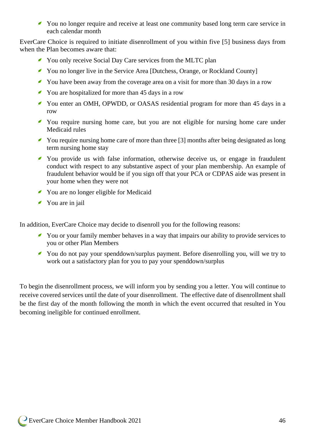You no longer require and receive at least one community based long term care service in each calendar month

EverCare Choice is required to initiate disenrollment of you within five [5] business days from when the Plan becomes aware that:

- You only receive Social Day Care services from the MLTC plan
- You no longer live in the Service Area [Dutchess, Orange, or Rockland County]
- You have been away from the coverage area on a visit for more than 30 days in a row
- You are hospitalized for more than 45 days in a row
- You enter an OMH, OPWDD, or OASAS residential program for more than 45 days in a row
- You require nursing home care, but you are not eligible for nursing home care under Medicaid rules
- You require nursing home care of more than three [3] months after being designated as long term nursing home stay
- You provide us with false information, otherwise deceive us, or engage in fraudulent conduct with respect to any substantive aspect of your plan membership. An example of fraudulent behavior would be if you sign off that your PCA or CDPAS aide was present in your home when they were not
- You are no longer eligible for Medicaid
- You are in jail

In addition, EverCare Choice may decide to disenroll you for the following reasons:

- You or your family member behaves in a way that impairs our ability to provide services to you or other Plan Members
- You do not pay your spenddown/surplus payment. Before disenrolling you, will we try to work out a satisfactory plan for you to pay your spenddown/surplus

To begin the disenrollment process, we will inform you by sending you a letter. You will continue to receive covered services until the date of your disenrollment. The effective date of disenrollment shall be the first day of the month following the month in which the event occurred that resulted in You becoming ineligible for continued enrollment.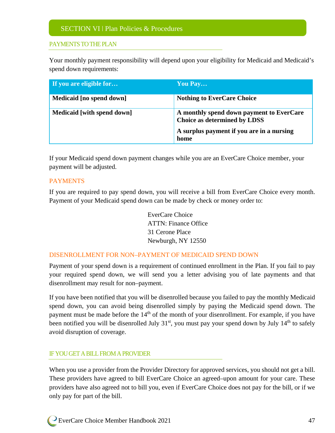# PAYMENTS TO THE PLAN

Your monthly payment responsibility will depend upon your eligibility for Medicaid and Medicaid's spend down requirements:

| If you are eligible for    | You Pay                                                                                                                       |
|----------------------------|-------------------------------------------------------------------------------------------------------------------------------|
| Medicaid [no spend down]   | <b>Nothing to EverCare Choice</b>                                                                                             |
| Medicaid [with spend down] | A monthly spend down payment to EverCare<br>Choice as determined by LDSS<br>A surplus payment if you are in a nursing<br>home |

If your Medicaid spend down payment changes while you are an EverCare Choice member, your payment will be adjusted.

#### PAYMENTS

If you are required to pay spend down, you will receive a bill from EverCare Choice every month. Payment of your Medicaid spend down can be made by check or money order to:

> EverCare Choice ATTN: Finance Office 31 Cerone Place Newburgh, NY 12550

#### DISENROLLMENT FOR NON–PAYMENT OF MEDICAID SPEND DOWN

Payment of your spend down is a requirement of continued enrollment in the Plan. If you fail to pay your required spend down, we will send you a letter advising you of late payments and that disenrollment may result for non–payment.

If you have been notified that you will be disenrolled because you failed to pay the monthly Medicaid spend down, you can avoid being disenrolled simply by paying the Medicaid spend down. The payment must be made before the  $14<sup>th</sup>$  of the month of your disenrollment. For example, if you have been notified you will be disenrolled July  $31<sup>st</sup>$ , you must pay your spend down by July  $14<sup>th</sup>$  to safely avoid disruption of coverage.

#### IF YOU GET A BILLFROM A PROVIDER

When you use a provider from the Provider Directory for approved services, you should not get a bill. These providers have agreed to bill EverCare Choice an agreed–upon amount for your care. These providers have also agreed not to bill you, even if EverCare Choice does not pay for the bill, or if we only pay for part of the bill.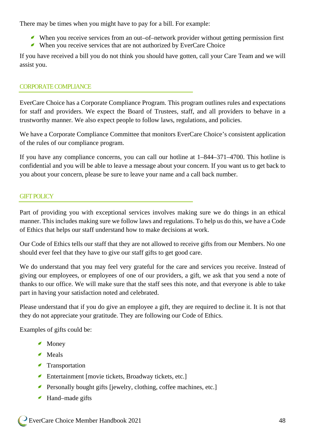There may be times when you might have to pay for a bill. For example:

- When you receive services from an out–of–network provider without getting permission first
- When you receive services that are not authorized by EverCare Choice

If you have received a bill you do not think you should have gotten, call your Care Team and we will assist you.

#### CORPORATE COMPLIANCE

EverCare Choice has a Corporate Compliance Program. This program outlines rules and expectations for staff and providers. We expect the Board of Trustees, staff, and all providers to behave in a trustworthy manner. We also expect people to follow laws, regulations, and policies.

We have a Corporate Compliance Committee that monitors EverCare Choice's consistent application of the rules of our compliance program.

If you have any compliance concerns, you can call our hotline at 1–844–371–4700. This hotline is confidential and you will be able to leave a message about your concern. If you want us to get back to you about your concern, please be sure to leave your name and a call back number.

#### GIFT POLICY

Part of providing you with exceptional services involves making sure we do things in an ethical manner. This includes making sure we follow laws and regulations. To help us do this, we have a Code of Ethics that helps our staff understand how to make decisions at work.

Our Code of Ethics tells our staff that they are not allowed to receive gifts from our Members. No one should ever feel that they have to give our staff gifts to get good care.

We do understand that you may feel very grateful for the care and services you receive. Instead of giving our employees, or employees of one of our providers, a gift, we ask that you send a note of thanks to our office. We will make sure that the staff sees this note, and that everyone is able to take part in having your satisfaction noted and celebrated.

Please understand that if you do give an employee a gift, they are required to decline it. It is not that they do not appreciate your gratitude. They are following our Code of Ethics.

Examples of gifts could be:

- Money
- Meals
- Transportation
- Entertainment [movie tickets, Broadway tickets, etc.]
- Personally bought gifts [jewelry, clothing, coffee machines, etc.]
- Hand–made gifts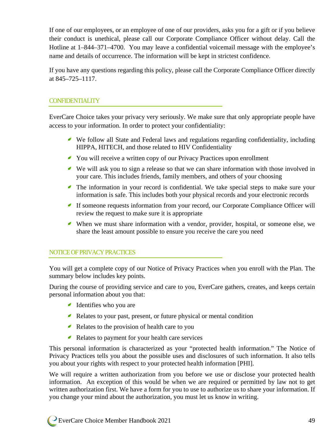If one of our employees, or an employee of one of our providers, asks you for a gift or if you believe their conduct is unethical, please call our Corporate Compliance Officer without delay. Call the Hotline at 1–844–371–4700. You may leave a confidential voicemail message with the employee's name and details of occurrence. The information will be kept in strictest confidence.

If you have any questions regarding this policy, please call the Corporate Compliance Officer directly at 845–725–1117.

# CONFIDENTIALITY

EverCare Choice takes your privacy very seriously. We make sure that only appropriate people have access to your information. In order to protect your confidentiality:

- We follow all State and Federal laws and regulations regarding confidentiality, including HIPPA, HITECH, and those related to HIV Confidentiality
- You will receive a written copy of our Privacy Practices upon enrollment
- We will ask you to sign a release so that we can share information with those involved in your care. This includes friends, family members, and others of your choosing
- The information in your record is confidential. We take special steps to make sure your information is safe. This includes both your physical records and your electronic records
- If someone requests information from your record, our Corporate Compliance Officer will review the request to make sure it is appropriate
- When we must share information with a vendor, provider, hospital, or someone else, we share the least amount possible to ensure you receive the care you need

#### NOTICE OF PRIVACY PRACTICES

You will get a complete copy of our Notice of Privacy Practices when you enroll with the Plan. The summary below includes key points.

During the course of providing service and care to you, EverCare gathers, creates, and keeps certain personal information about you that:

- Identifies who you are
- Relates to your past, present, or future physical or mental condition
- Relates to the provision of health care to you
- Relates to payment for your health care services

This personal information is characterized as your "protected health information." The Notice of Privacy Practices tells you about the possible uses and disclosures of such information. It also tells you about your rights with respect to your protected health information [PHI].

We will require a written authorization from you before we use or disclose your protected health information. An exception of this would be when we are required or permitted by law not to get written authorization first. We have a form for you to use to authorize us to share your information. If you change your mind about the authorization, you must let us know in writing.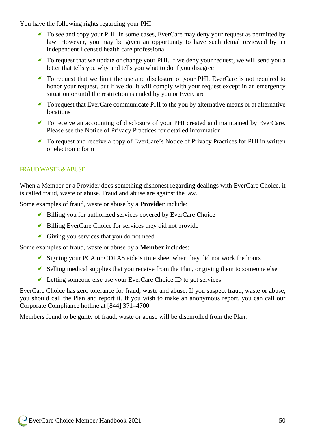You have the following rights regarding your PHI:

- To see and copy your PHI. In some cases, EverCare may deny your request as permitted by law. However, you may be given an opportunity to have such denial reviewed by an independent licensed health care professional
- To request that we update or change your PHI. If we deny your request, we will send you a letter that tells you why and tells you what to do if you disagree
- To request that we limit the use and disclosure of your PHI. EverCare is not required to honor your request, but if we do, it will comply with your request except in an emergency situation or until the restriction is ended by you or EverCare
- To request that EverCare communicate PHI to the you by alternative means or at alternative locations
- To receive an accounting of disclosure of your PHI created and maintained by EverCare. Please see the Notice of Privacy Practices for detailed information
- To request and receive a copy of EverCare's Notice of Privacy Practices for PHI in written or electronic form

#### FRAUD WASTE & ABUSE

When a Member or a Provider does something dishonest regarding dealings with EverCare Choice, it is called fraud, waste or abuse. Fraud and abuse are against the law.

Some examples of fraud, waste or abuse by a **Provider** include:

- Billing you for authorized services covered by EverCare Choice
- Billing EverCare Choice for services they did not provide
- Giving you services that you do not need

Some examples of fraud, waste or abuse by a **Member** includes:

- Signing your PCA or CDPAS aide's time sheet when they did not work the hours
- Selling medical supplies that you receive from the Plan, or giving them to someone else
- Letting someone else use your EverCare Choice ID to get services

EverCare Choice has zero tolerance for fraud, waste and abuse. If you suspect fraud, waste or abuse, you should call the Plan and report it. If you wish to make an anonymous report, you can call our Corporate Compliance hotline at [844] 371–4700.

Members found to be guilty of fraud, waste or abuse will be disenrolled from the Plan.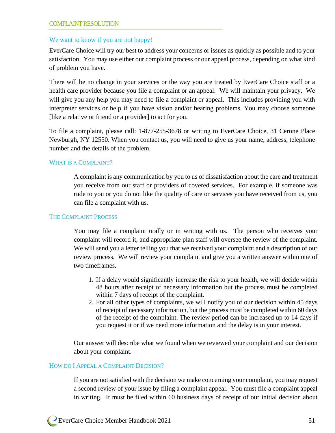#### COMPLAINT RESOLUTION

#### We want to know if you are not happy!

EverCare Choice will try our best to address your concerns or issues as quickly as possible and to your satisfaction. You may use either our complaint process or our appeal process, depending on what kind of problem you have.

There will be no change in your services or the way you are treated by EverCare Choice staff or a health care provider because you file a complaint or an appeal. We will maintain your privacy. We will give you any help you may need to file a complaint or appeal. This includes providing you with interpreter services or help if you have vision and/or hearing problems. You may choose someone [like a relative or friend or a provider] to act for you.

To file a complaint, please call: 1-877-255-3678 or writing to EverCare Choice, 31 Cerone Place Newburgh, NY 12550. When you contact us, you will need to give us your name, address, telephone number and the details of the problem.

#### WHAT IS A COMPLAINT?

A complaint is any communication by you to us of dissatisfaction about the care and treatment you receive from our staff or providers of covered services. For example, if someone was rude to you or you do not like the quality of care or services you have received from us, you can file a complaint with us.

#### THE COMPLAINT PROCESS

You may file a complaint orally or in writing with us. The person who receives your complaint will record it, and appropriate plan staff will oversee the review of the complaint. We will send you a letter telling you that we received your complaint and a description of our review process. We will review your complaint and give you a written answer within one of two timeframes.

- 1. If a delay would significantly increase the risk to your health, we will decide within 48 hours after receipt of necessary information but the process must be completed within 7 days of receipt of the complaint.
- 2. For all other types of complaints, we will notify you of our decision within 45 days of receipt of necessary information, but the process must be completed within 60 days of the receipt of the complaint. The review period can be increased up to 14 days if you request it or if we need more information and the delay is in your interest.

Our answer will describe what we found when we reviewed your complaint and our decision about your complaint.

#### HOW DO I APPEAL A COMPLAINT DECISION?

If you are not satisfied with the decision we make concerning your complaint, you may request a second review of your issue by filing a complaint appeal. You must file a complaint appeal in writing. It must be filed within 60 business days of receipt of our initial decision about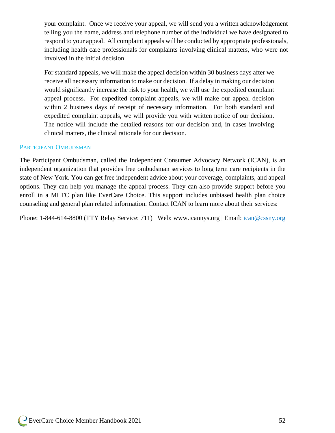your complaint. Once we receive your appeal, we will send you a written acknowledgement telling you the name, address and telephone number of the individual we have designated to respond to your appeal. All complaint appeals will be conducted by appropriate professionals, including health care professionals for complaints involving clinical matters, who were not involved in the initial decision.

For standard appeals, we will make the appeal decision within 30 business days after we receive all necessary information to make our decision. If a delay in making our decision would significantly increase the risk to your health, we will use the expedited complaint appeal process. For expedited complaint appeals, we will make our appeal decision within 2 business days of receipt of necessary information. For both standard and expedited complaint appeals, we will provide you with written notice of our decision. The notice will include the detailed reasons for our decision and, in cases involving clinical matters, the clinical rationale for our decision.

#### PARTICIPANT OMBUDSMAN

The Participant Ombudsman, called the Independent Consumer Advocacy Network (ICAN), is an independent organization that provides free ombudsman services to long term care recipients in the state of New York. You can get free independent advice about your coverage, complaints, and appeal options. They can help you manage the appeal process. They can also provide support before you enroll in a MLTC plan like EverCare Choice. This support includes unbiased health plan choice counseling and general plan related information. Contact ICAN to learn more about their services:

Phone: 1-844-614-8800 (TTY Relay Service: 711) Web: www.icannys.org | Email: [ican@cssny.org](mailto:ican@cssny.org)